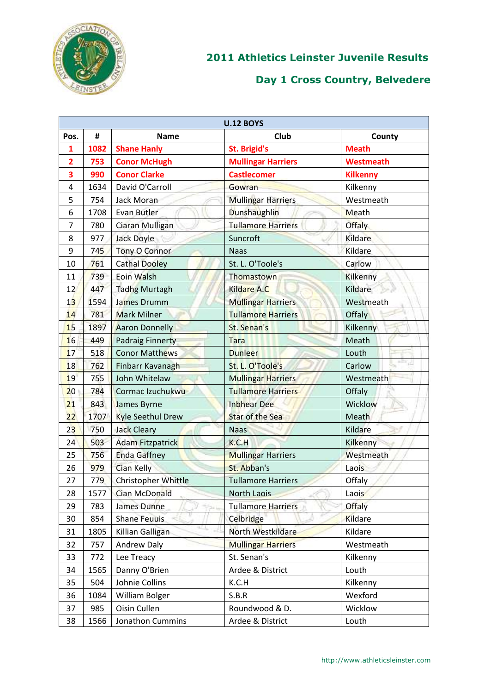

|                         |      |                          | <b>U.12 BOYS</b>          |                 |
|-------------------------|------|--------------------------|---------------------------|-----------------|
| Pos.                    | #    | <b>Name</b>              | <b>Club</b>               | County          |
| 1                       | 1082 | <b>Shane Hanly</b>       | <b>St. Brigid's</b>       | <b>Meath</b>    |
| $\overline{\mathbf{2}}$ | 753  | <b>Conor McHugh</b>      | <b>Mullingar Harriers</b> | Westmeath       |
| 3                       | 990  | <b>Conor Clarke</b>      | <b>Castlecomer</b>        | <b>Kilkenny</b> |
| 4                       | 1634 | David O'Carroll          | Gowran                    | Kilkenny        |
| 5                       | 754  | Jack Moran               | <b>Mullingar Harriers</b> | Westmeath       |
| 6                       | 1708 | Evan Butler              | Dunshaughlin              | Meath           |
| 7                       | 780  | Ciaran Mulligan          | <b>Tullamore Harriers</b> | <b>Offaly</b>   |
| 8                       | 977  | Jack Doyle               | Suncroft                  | Kildare         |
| 9                       | 745  | <b>Tony O Connor</b>     | <b>Naas</b>               | Kildare         |
| 10                      | 761  | <b>Cathal Dooley</b>     | St. L. O'Toole's          | Carlow          |
| 11                      | 739  | Eoin Walsh               | Thomastown                | Kilkenny        |
| 12                      | 447  | <b>Tadhg Murtagh</b>     | Kildare A.C               | Kildare         |
| 13                      | 1594 | James Drumm              | <b>Mullingar Harriers</b> | Westmeath       |
| 14                      | 781  | <b>Mark Milner</b>       | <b>Tullamore Harriers</b> | Offaly          |
| 15                      | 1897 | <b>Aaron Donnelly</b>    | St. Senan's               | Kilkenny        |
| 16                      | 449  | <b>Padraig Finnerty</b>  | <b>Tara</b>               | Meath           |
| 17                      | 518  | <b>Conor Matthews</b>    | <b>Dunleer</b>            | Louth           |
| 18                      | 762  | Finbarr Kavanagh         | St. L. O'Toole's          | Carlow          |
| 19                      | 755  | John Whitelaw            | <b>Mullingar Harriers</b> | Westmeath       |
| 20 <sub>2</sub>         | 784  | Cormac Izuchukwu         | <b>Tullamore Harriers</b> | Offaly          |
| 21                      | 843  | James Byrne              | <b>Inbhear Dee</b>        | Wicklow         |
| 22                      | 1707 | <b>Kyle Seethul Drew</b> | <b>Star of the Sea</b>    | Meath           |
| 23                      | 750  | <b>Jack Cleary</b>       | <b>Naas</b>               | Kildare         |
| 24                      | 503  | <b>Adam Fitzpatrick</b>  | K.C.H                     | Kilkenny        |
| 25                      | 756  | <b>Enda Gaffney</b>      | <b>Mullingar Harriers</b> | Westmeath       |
| 26                      | 979  | Cian Kelly               | St. Abban's               | Laois           |
| 27                      | 779  | Christopher Whittle      | <b>Tullamore Harriers</b> | Offaly          |
| 28                      | 1577 | Cian McDonald            | <b>North Laois</b>        | Laois           |
| 29                      | 783  | <b>James Dunne</b>       | <b>Tullamore Harriers</b> | <b>Offaly</b>   |
| 30                      | 854  | <b>Shane Feuuis</b>      | Celbridge                 | Kildare         |
| 31                      | 1805 | Killian Galligan         | North Westkildare         | Kildare         |
| 32                      | 757  | Andrew Daly              | <b>Mullingar Harriers</b> | Westmeath       |
| 33                      | 772  | Lee Treacy               | St. Senan's               | Kilkenny        |
| 34                      | 1565 | Danny O'Brien            | Ardee & District          | Louth           |
| 35                      | 504  | Johnie Collins           | K.C.H                     | Kilkenny        |
| 36                      | 1084 | William Bolger           | S.B.R                     | Wexford         |
| 37                      | 985  | Oisin Cullen             | Roundwood & D.            | Wicklow         |
| 38                      | 1566 | Jonathon Cummins         | Ardee & District          | Louth           |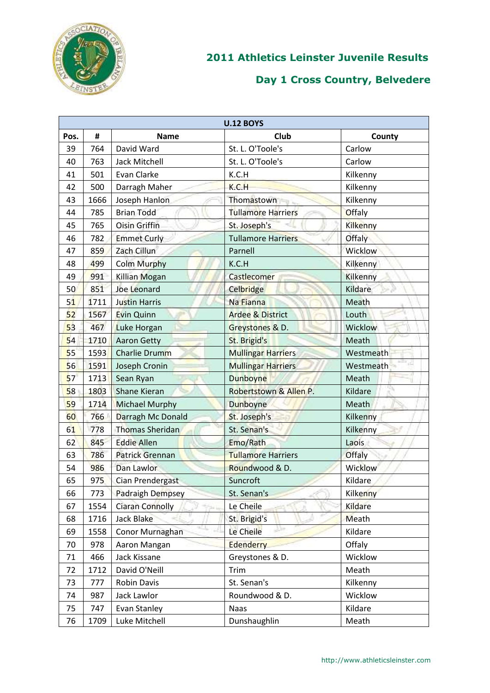

|      | <b>U.12 BOYS</b> |                        |                             |                 |  |
|------|------------------|------------------------|-----------------------------|-----------------|--|
| Pos. | #                | <b>Name</b>            | Club                        | County          |  |
| 39   | 764              | David Ward             | St. L. O'Toole's            | Carlow          |  |
| 40   | 763              | Jack Mitchell          | St. L. O'Toole's            | Carlow          |  |
| 41   | 501              | Evan Clarke            | K.C.H                       | Kilkenny        |  |
| 42   | 500              | Darragh Maher          | K.C.H                       | Kilkenny        |  |
| 43   | 1666             | Joseph Hanlon          | Thomastown                  | Kilkenny        |  |
| 44   | 785              | <b>Brian Todd</b>      | <b>Tullamore Harriers</b>   | <b>Offaly</b>   |  |
| 45   | 765              | <b>Oisin Griffin</b>   | St. Joseph's                | Kilkenny        |  |
| 46   | 782              | <b>Emmet Curly</b>     | <b>Tullamore Harriers</b>   | Offaly          |  |
| 47   | 859              | Zach Cillun            | Parnell                     | Wicklow         |  |
| 48   | 499              | <b>Colm Murphy</b>     | K.C.H                       | Kilkenny        |  |
| 49   | 991              | <b>Killian Mogan</b>   | Castlecomer                 | <b>Kilkenny</b> |  |
| 50   | 851              | <b>Joe Leonard</b>     | Celbridge                   | Kildare         |  |
| 51   | 1711             | <b>Justin Harris</b>   | Na Fianna                   | Meath           |  |
| 52   | 1567             | Evin Quinn             | <b>Ardee &amp; District</b> | Louth           |  |
| 53   | 467              | <b>Luke Horgan</b>     | Greystones & D.             | Wicklow         |  |
| 54   | 1710             | <b>Aaron Getty</b>     | St. Brigid's                | Meath           |  |
| 55   | 1593             | <b>Charlie Drumm</b>   | <b>Mullingar Harriers</b>   | Westmeath       |  |
| 56   | 1591             | <b>Joseph Cronin</b>   | <b>Mullingar Harriers</b>   | Westmeath       |  |
| 57   | 1713             | Sean Ryan              | <b>Dunboyne</b>             | Meath           |  |
| 58   | 1803             | Shane Kieran           | Robertstown & Allen P.      | Kildare         |  |
| 59   | 1714             | <b>Michael Murphy</b>  | Dunboyne                    | Meath           |  |
| 60   | 766              | Darragh Mc Donald      | St. Joseph's                | Kilkenny        |  |
| 61   | 778              | <b>Thomas Sheridan</b> | St. Senan's                 | Kilkenny        |  |
| 62   | 845              | <b>Eddie Allen</b>     | Emo/Rath                    | Laois           |  |
| 63   | 786              | <b>Patrick Grennan</b> | <b>Tullamore Harriers</b>   | Offaly          |  |
| 54   | 986              | Dan Lawlor             | Roundwood & D.              | <b>Wicklow</b>  |  |
| 65   | 975              | Cian Prendergast       | Suncroft                    | Kildare         |  |
| 66   | 773              | Padraigh Dempsey       | St. Senan's                 | Kilkenny        |  |
| 67   | 1554             | <b>Ciaran Connolly</b> | Le Cheile                   | Kildare         |  |
| 68   | 1716             | <b>Jack Blake</b>      | St. Brigid's                | Meath           |  |
| 69   | 1558             | Conor Murnaghan        | Le Cheile                   | Kildare         |  |
| 70   | 978              | Aaron Mangan           | Edenderry                   | Offaly          |  |
| 71   | 466              | Jack Kissane           | Greystones & D.             | Wicklow         |  |
| 72   | 1712             | David O'Neill          | Trim                        | Meath           |  |
| 73   | 777              | Robin Davis            | St. Senan's                 | Kilkenny        |  |
| 74   | 987              | Jack Lawlor            | Roundwood & D.              | Wicklow         |  |
| 75   | 747              | Evan Stanley           | <b>Naas</b>                 | Kildare         |  |
| 76   | 1709             | Luke Mitchell          | Dunshaughlin                | Meath           |  |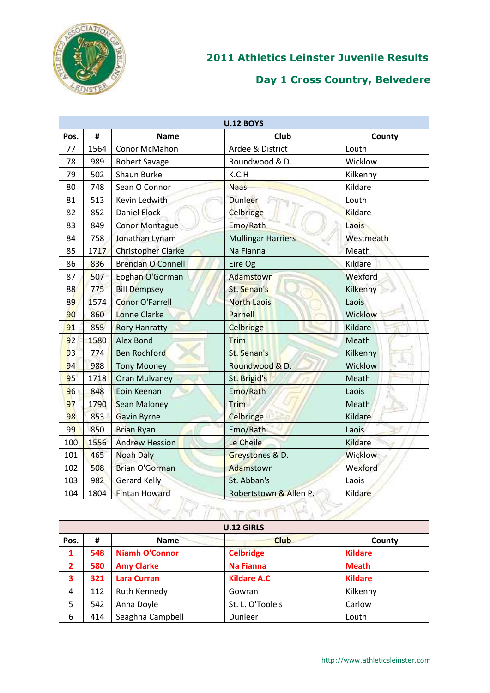

|      |      |                           | <b>U.12 BOYS</b>          |                |
|------|------|---------------------------|---------------------------|----------------|
| Pos. | #    | <b>Name</b>               | <b>Club</b>               | County         |
| 77   | 1564 | Conor McMahon             | Ardee & District          | Louth          |
| 78   | 989  | <b>Robert Savage</b>      | Roundwood & D.            | Wicklow        |
| 79   | 502  | Shaun Burke               | K.C.H                     | Kilkenny       |
| 80   | 748  | Sean O Connor             | <b>Naas</b>               | Kildare        |
| 81   | 513  | Kevin Ledwith             | <b>Dunleer</b><br>TF-11   | Louth          |
| 82   | 852  | <b>Daniel Elock</b>       | Celbridge                 | Kildare        |
| 83   | 849  | <b>Conor Montague</b>     | Emo/Rath                  | Laois          |
| 84   | 758  | Jonathan Lynam            | <b>Mullingar Harriers</b> | Westmeath      |
| 85   | 1717 | <b>Christopher Clarke</b> | Na Fianna                 | Meath          |
| 86   | 836  | <b>Brendan O Connell</b>  | Eire Og                   | Kildare        |
| 87   | 507  | Eoghan O'Gorman           | Adamstown                 | Wexford        |
| 88   | 775  | <b>Bill Dempsey</b>       | St. Senan's               | Kilkenny       |
| 89   | 1574 | <b>Conor O'Farrell</b>    | <b>North Laois</b>        | Laois          |
| 90   | 860  | <b>Lonne Clarke</b>       | Parnell                   | <b>Wicklow</b> |
| 91   | 855  | <b>Rory Hanratty</b>      | Celbridge                 | Kildare        |
| 92   | 1580 | <b>Alex Bond</b>          | Trim                      | Meath          |
| 93   | 774  | <b>Ben Rochford</b>       | St. Senan's               | Kilkenny       |
| 94   | 988  | <b>Tony Mooney</b>        | Roundwood & D.            | z<br>Wicklow   |
| 95   | 1718 | <b>Oran Mulvaney</b>      | St. Brigid's              | Meath          |
| 96   | 848  | Eoin Keenan               | Emo/Rath                  | Laois          |
| 97   | 1790 | <b>Sean Maloney</b>       | Trim                      | Meath          |
| 98   | 853  | Gavin Byrne               | Celbridge                 | Kildare        |
| 99   | 850  | <b>Brian Ryan</b>         | Emo/Rath                  | Laois          |
| 100  | 1556 | <b>Andrew Hession</b>     | Le Cheile                 | Kildare        |
| 101  | 465  | <b>Noah Daly</b>          | Greystones & D.           | <b>Wicklow</b> |
| 102  | 508  | <b>Brian O'Gorman</b>     | Adamstown                 | Wexford        |
| 103  | 982  | <b>Gerard Kelly</b>       | St. Abban's               | Laois          |
| 104  | 1804 | <b>Fintan Howard</b>      | Robertstown & Allen P.    | Kildare        |
|      |      |                           |                           |                |

|                | <b>U.12 GIRLS</b> |                       |                    |                |  |
|----------------|-------------------|-----------------------|--------------------|----------------|--|
| Pos.           | #                 | <b>Name</b>           | <b>Club</b>        | County         |  |
| 1              | 548               | <b>Niamh O'Connor</b> | <b>Celbridge</b>   | <b>Kildare</b> |  |
| $\overline{2}$ | 580               | <b>Amy Clarke</b>     | <b>Na Fianna</b>   | <b>Meath</b>   |  |
| 3              | 321               | <b>Lara Curran</b>    | <b>Kildare A.C</b> | <b>Kildare</b> |  |
| $\overline{4}$ | 112               | Ruth Kennedy          | Gowran             | Kilkenny       |  |
| 5              | 542               | Anna Doyle            | St. L. O'Toole's   | Carlow         |  |
| 6              | 414               | Seaghna Campbell      | Dunleer            | Louth          |  |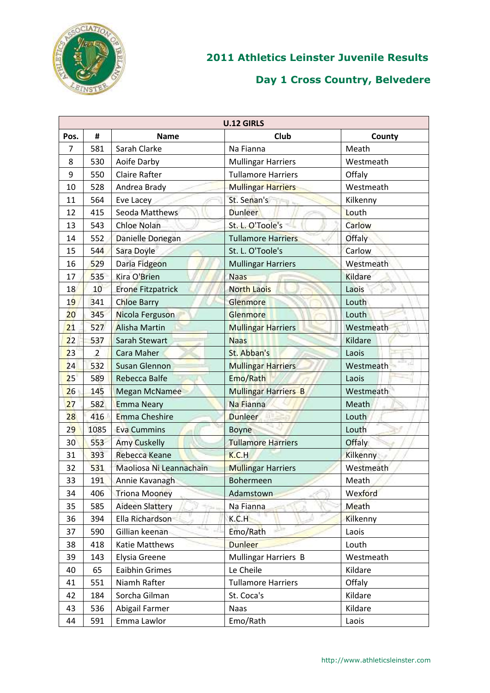

|                | <b>U.12 GIRLS</b> |                          |                             |                |  |
|----------------|-------------------|--------------------------|-----------------------------|----------------|--|
| Pos.           | #                 | <b>Name</b>              | Club                        | County         |  |
| $\overline{7}$ | 581               | Sarah Clarke             | Na Fianna                   | Meath          |  |
| 8              | 530               | Aoife Darby              | <b>Mullingar Harriers</b>   | Westmeath      |  |
| 9              | 550               | <b>Claire Rafter</b>     | <b>Tullamore Harriers</b>   | Offaly         |  |
| 10             | 528               | Andrea Brady             | <b>Mullingar Harriers</b>   | Westmeath      |  |
| 11             | 564               | Eve Lacey                | St. Senan's<br>FFU.         | Kilkenny       |  |
| 12             | 415               | Seoda Matthews           | <b>Dunleer</b>              | Louth          |  |
| 13             | 543               | <b>Chloe Nolan</b>       | St. L. O'Toole's            | Carlow         |  |
| 14             | 552               | Danielle Donegan         | <b>Tullamore Harriers</b>   | Offaly         |  |
| 15             | 544               | Sara Doyle               | St. L. O'Toole's            | Carlow         |  |
| 16             | 529               | Daria Fidgeon            | <b>Mullingar Harriers</b>   | Westmeath      |  |
| 17             | 535               | Kira O'Brien             | <b>Naas</b>                 | <b>Kildare</b> |  |
| 18             | 10                | <b>Erone Fitzpatrick</b> | <b>North Laois</b>          | Laois          |  |
| 19             | 341               | <b>Chloe Barry</b>       | Glenmore                    | Louth          |  |
| 20             | 345               | Nicola Ferguson          | Glenmore                    | Louth          |  |
| 21             | 527               | <b>Alisha Martin</b>     | <b>Mullingar Harriers</b>   | Westmeath      |  |
| 22             | 537               | Sarah Stewart            | <b>Naas</b>                 | Kildare        |  |
| 23             | $\overline{2}$    | <b>Cara Maher</b>        | St. Abban's                 | Laois          |  |
| 24             | 532               | <b>Susan Glennon</b>     | <b>Mullingar Harriers</b>   | Westmeath      |  |
| 25             | 589               | Rebecca Balfe            | Emo/Rath                    | Laois          |  |
| 26             | 145               | <b>Megan McNamee</b>     | <b>Mullingar Harriers B</b> | Westmeath      |  |
| 27             | 582               | <b>Emma Neary</b>        | Na Fianna                   | Meath          |  |
| 28             | 416               | <b>Emma Cheshire</b>     | <b>Dunleer</b>              | Louth          |  |
| 29             | 1085              | <b>Eva Cummins</b>       | <b>Boyne</b>                | Louth          |  |
| 30             | 553               | <b>Amy Cuskelly</b>      | <b>Tullamore Harriers</b>   | <b>Offaly</b>  |  |
| 31             | 393               | <b>Rebecca Keane</b>     | K.C.H                       | Kilkenny       |  |
| 32             | 531               | Maoliosa Ni Leannachain  | <b>Mullingar Harriers</b>   | Westmeath      |  |
| 33             | 191               | Annie Kavanagh           | Bohermeen                   | Meath          |  |
| 34             | 406               | <b>Triona Mooney</b>     | Adamstown                   | Wexford        |  |
| 35             | 585               | <b>Aideen Slattery</b>   | Na Fianna                   | Meath          |  |
| 36             | 394               | Ella Richardson          | K.C.H                       | Kilkenny       |  |
| 37             | 590               | Gillian keenan           | Emo/Rath                    | Laois          |  |
| 38             | 418               | Katie Matthews           | <b>Dunleer</b>              | Louth          |  |
| 39             | 143               | Elysia Greene            | <b>Mullingar Harriers B</b> | Westmeath      |  |
| 40             | 65                | <b>Eaibhin Grimes</b>    | Le Cheile                   | Kildare        |  |
| 41             | 551               | Niamh Rafter             | <b>Tullamore Harriers</b>   | Offaly         |  |
| 42             | 184               | Sorcha Gilman            | St. Coca's                  | Kildare        |  |
| 43             | 536               | Abigail Farmer           | <b>Naas</b>                 | Kildare        |  |
| 44             | 591               | Emma Lawlor              | Emo/Rath                    | Laois          |  |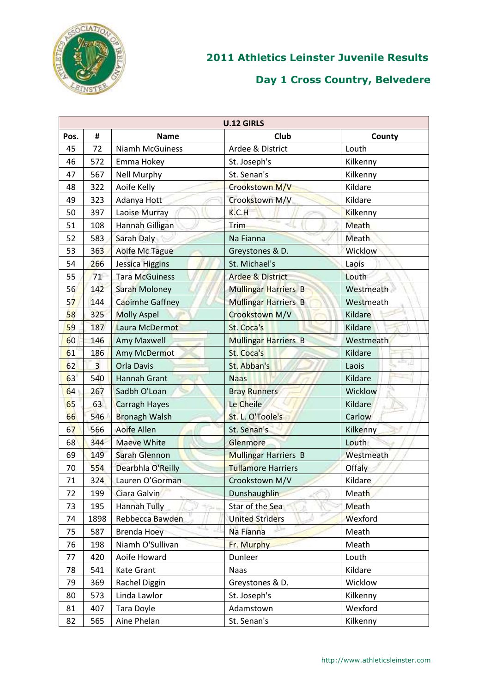

|      | <b>U.12 GIRLS</b> |                        |                             |           |  |
|------|-------------------|------------------------|-----------------------------|-----------|--|
| Pos. | #                 | <b>Name</b>            | Club                        | County    |  |
| 45   | 72                | <b>Niamh McGuiness</b> | Ardee & District            | Louth     |  |
| 46   | 572               | Emma Hokey             | St. Joseph's                | Kilkenny  |  |
| 47   | 567               | <b>Nell Murphy</b>     | St. Senan's                 | Kilkenny  |  |
| 48   | 322               | Aoife Kelly            | Crookstown M/V              | Kildare   |  |
| 49   | 323               | Adanya Hott            | Crookstown M/V              | Kildare   |  |
| 50   | 397               | Laoise Murray          | K.C.H                       | Kilkenny  |  |
| 51   | 108               | <b>Hannah Gilligan</b> | Trim                        | Meath     |  |
| 52   | 583               | Sarah Daly             | Na Fianna                   | Meath     |  |
| 53   | 363               | Aoife Mc Tague         | Greystones & D.             | Wicklow   |  |
| 54   | 266               | Jessica Higgins        | St. Michael's               | Laois     |  |
| 55   | 71                | <b>Tara McGuiness</b>  | <b>Ardee &amp; District</b> | Louth     |  |
| 56   | 142               | <b>Sarah Moloney</b>   | Mullingar Harriers B        | Westmeath |  |
| 57   | 144               | Caoimhe Gaffney        | <b>Mullingar Harriers B</b> | Westmeath |  |
| 58   | 325               | <b>Molly Aspel</b>     | Crookstown M/V              | Kildare   |  |
| 59   | 187               | Laura McDermot         | St. Coca's                  | Kildare   |  |
| 60   | 146               | <b>Amy Maxwell</b>     | <b>Mullingar Harriers B</b> | Westmeath |  |
| 61   | 186               | <b>Amy McDermot</b>    | St. Coca's                  | Kildare   |  |
| 62   | $\overline{3}$    | <b>Orla Davis</b>      | St. Abban's                 | Laois     |  |
| 63   | 540               | <b>Hannah Grant</b>    | <b>Naas</b>                 | Kildare   |  |
| 64   | 267               | Sadbh O'Loan           | <b>Bray Runners</b>         | Wicklow   |  |
| 65   | 63                | <b>Carragh Hayes</b>   | Le Cheile                   | Kildare   |  |
| 66   | 546               | <b>Bronagh Walsh</b>   | St. L. O'Toole's            | Carlow    |  |
| 67   | 566               | <b>Aoife Allen</b>     | St. Senan's                 | Kilkenny  |  |
| 68   | 344               | <b>Maeve White</b>     | Glenmore                    | Louth     |  |
| 69   | 149               | Sarah Glennon          | Mullingar Harriers B        | Westmeath |  |
| 70   | 554               | Dearbhla O'Reilly      | <b>Tullamore Harriers</b>   | Offaly    |  |
| 71   | 324               | Lauren O'Gorman        | Crookstown M/V              | Kildare   |  |
| 72   | 199               | Ciara Galvin           | <b>Dunshaughlin</b>         | Meath     |  |
| 73   | 195               | <b>Hannah Tully</b>    | Star of the Sea             | Meath     |  |
| 74   | 1898              | Rebbecca Bawden        | <b>United Striders</b>      | Wexford   |  |
| 75   | 587               | <b>Brenda Hoey</b>     | Na Fianna                   | Meath     |  |
| 76   | 198               | Niamh O'Sullivan       | Fr. Murphy                  | Meath     |  |
| 77   | 420               | Aoife Howard           | Dunleer                     | Louth     |  |
| 78   | 541               | Kate Grant             | <b>Naas</b>                 | Kildare   |  |
| 79   | 369               | Rachel Diggin          | Greystones & D.             | Wicklow   |  |
| 80   | 573               | Linda Lawlor           | St. Joseph's                | Kilkenny  |  |
| 81   | 407               | Tara Doyle             | Adamstown                   | Wexford   |  |
| 82   | 565               | Aine Phelan            | St. Senan's                 | Kilkenny  |  |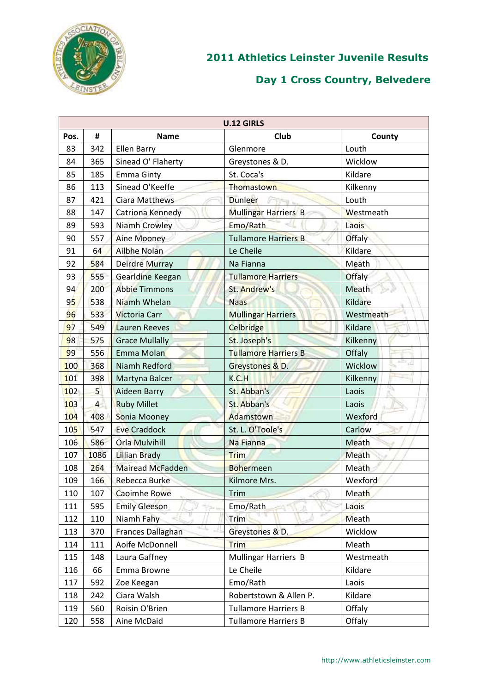

|                |                |                          | <b>U.12 GIRLS</b>           |               |
|----------------|----------------|--------------------------|-----------------------------|---------------|
| Pos.           | #              | <b>Name</b>              | <b>Club</b>                 | County        |
| 83             | 342            | <b>Ellen Barry</b>       | Glenmore                    | Louth         |
| 84             | 365            | Sinead O' Flaherty       | Greystones & D.             | Wicklow       |
| 85             | 185            | <b>Emma Ginty</b>        | St. Coca's                  | Kildare       |
| 86             | 113            | Sinead O'Keeffe          | Thomastown                  | Kilkenny      |
| 87             | 421            | Ciara Matthews           | <b>Dunleer</b><br>Fire.     | Louth         |
| 88             | 147            | Catriona Kennedy         | <b>Mullingar Harriers B</b> | Westmeath     |
| 89             | 593            | <b>Niamh Crowley</b>     | Emo/Rath                    | Laois         |
| 90             | 557            | Aine Mooney              | <b>Tullamore Harriers B</b> | Offaly        |
| 91             | 64             | Ailbhe Nolan             | Le Cheile                   | Kildare       |
| 92             | 584            | <b>Deirdre Murray</b>    | Na Fianna                   | Meath         |
| 93             | 555            | Gearldine Keegan         | <b>Tullamore Harriers</b>   | <b>Offaly</b> |
| 94             | 200            | <b>Abbie Timmons</b>     | St. Andrew's                | Meath         |
| 9 <sub>5</sub> | 538            | Niamh Whelan             | <b>Naas</b>                 | Kildare       |
| 96             | 533            | <b>Victoria Carr</b>     | <b>Mullingar Harriers</b>   | Westmeath     |
| 97             | 549            | <b>Lauren Reeves</b>     | Celbridge                   | Kildare       |
| 98             | 575            | <b>Grace Mullally</b>    | St. Joseph's                | Kilkenny      |
| 99             | 556            | Emma Molan               | <b>Tullamore Harriers B</b> | Offaly        |
| 100            | 368            | Niamh Redford            | Greystones & D.             | Wicklow       |
| 101            | 398            | Martyna Balcer           | K.C.H                       | Kilkenny      |
| 102            | 5 <sup>1</sup> | Aideen Barry             | St. Abban's                 | Laois         |
| 103            | $\overline{4}$ | <b>Ruby Millet</b>       | St. Abban's                 | Laois         |
| 104            | 408            | Sonia Mooney             | Adamstown                   | Wexford       |
| 105            | 547            | <b>Eve Craddock</b>      | St. L. O'Toole's            | Carlow        |
| 106            | 586            | Orla Mulvihill           | Na Fianna                   | Meath         |
| 107            | 1086           | <b>Lillian Brady</b>     | <b>Trim</b>                 | Meath         |
| 108            | 264            | <b>Mairead McFadden</b>  | <b>Bohermeen</b>            | Meath         |
| 109            | 166            | Rebecca Burke            | Kilmore Mrs.                | Wexford       |
| 110            | 107            | Caoimhe Rowe             | Trim                        | Meath         |
| 111            | 595            | <b>Emily Gleeson</b>     | Emo/Rath                    | Laois         |
| 112            | 110            | Niamh Fahy               | <b>Trim</b>                 | <b>Meath</b>  |
| 113            | 370            | <b>Frances Dallaghan</b> | Greystones & D.             | Wicklow       |
| 114            | 111            | Aoife McDonnell          | <b>Trim</b>                 | Meath         |
| 115            | 148            | Laura Gaffney            | Mullingar Harriers B        | Westmeath     |
| 116            | 66             | Emma Browne              | Le Cheile                   | Kildare       |
| 117            | 592            | Zoe Keegan               | Emo/Rath                    | Laois         |
| 118            | 242            | Ciara Walsh              | Robertstown & Allen P.      | Kildare       |
| 119            | 560            | Roisin O'Brien           | <b>Tullamore Harriers B</b> | Offaly        |
| 120            | 558            | Aine McDaid              | <b>Tullamore Harriers B</b> | Offaly        |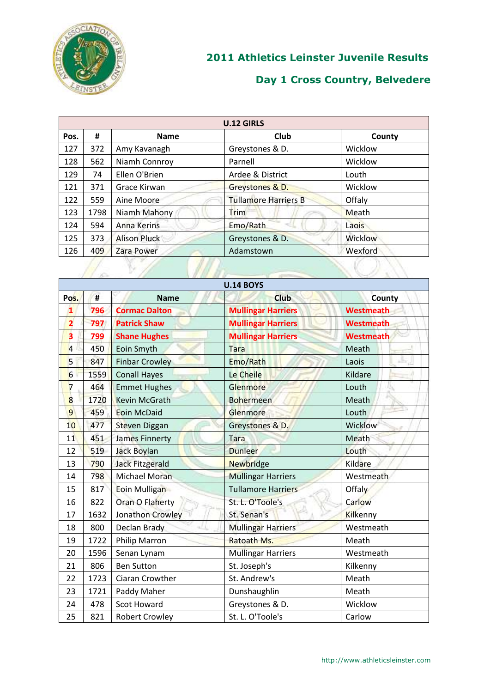

| <b>U.12 GIRLS</b> |      |                     |                             |                |
|-------------------|------|---------------------|-----------------------------|----------------|
| Pos.              | #    | <b>Name</b>         | Club                        | County         |
| 127               | 372  | Amy Kavanagh        | Greystones & D.             | Wicklow        |
| 128               | 562  | Niamh Connroy       | Parnell                     | Wicklow        |
| 129               | 74   | Ellen O'Brien       | Ardee & District            | Louth          |
| 121               | 371  | Grace Kirwan        | Greystones & D.             | Wicklow        |
| 122               | 559  | Aine Moore          | <b>Tullamore Harriers B</b> | Offaly         |
| 123               | 1798 | Niamh Mahony        | Trim                        | Meath          |
| 124               | 594  | <b>Anna Kerins</b>  | Emo/Rath                    | Laois          |
| 125               | 373  | <b>Alison Pluck</b> | Greystones & D.             | <b>Wicklow</b> |
| 126               | 409  | Zara Power          | Adamstown                   | Wexford        |
|                   |      |                     |                             |                |

|                         |      |                        | <b>U.14 BOYS</b>          |                  |
|-------------------------|------|------------------------|---------------------------|------------------|
| Pos.                    | #    | <b>Name</b>            | <b>Club</b>               | County           |
| $\mathbf{1}$            | 796  | <b>Cormac Dalton</b>   | <b>Mullingar Harriers</b> | <b>Westmeath</b> |
| $\overline{2}$          | 797  | <b>Patrick Shaw</b>    | <b>Mullingar Harriers</b> | <b>Westmeath</b> |
| $\overline{\mathbf{3}}$ | 799  | <b>Shane Hughes</b>    | <b>Mullingar Harriers</b> | <b>Westmeath</b> |
| $\overline{4}$          | 450  | Eoin Smyth             | Tara                      | Meath            |
| 5                       | 847  | <b>Finbar Crowley</b>  | Emo/Rath                  | 止<br>Laois       |
| 6                       | 1559 | <b>Conall Hayes</b>    | Le Cheile                 | Kildare          |
| $\overline{7}$          | 464  | <b>Emmet Hughes</b>    | Glenmore                  | Louth            |
| 8                       | 1720 | <b>Kevin McGrath</b>   | <b>Bohermeen</b>          | Meath            |
| 9                       | 459  | <b>Eoin McDaid</b>     | Glenmore                  | Louth            |
| 10                      | 477  | <b>Steven Diggan</b>   | Greystones & D.           | Wicklow          |
| 11                      | 451  | <b>James Finnerty</b>  | <b>Tara</b>               | Meath            |
| 12                      | 519  | <b>Jack Boylan</b>     | <b>Dunleer</b>            | Louth            |
| 13                      | 790  | <b>Jack Fitzgerald</b> | <b>Newbridge</b>          | Kildare          |
| 14                      | 798  | <b>Michael Moran</b>   | <b>Mullingar Harriers</b> | Westmeath        |
| 15                      | 817  | Eoin Mulligan          | <b>Tullamore Harriers</b> | Offaly           |
| 16                      | 822  | <b>Oran O Flaherty</b> | St. L. O'Toole's          | Carlow           |
| 17                      | 1632 | Jonathon Crowley       | St. Senan's               | Kilkenny         |
| 18                      | 800  | Declan Brady           | <b>Mullingar Harriers</b> | Westmeath        |
| 19                      | 1722 | <b>Philip Marron</b>   | Ratoath Ms.               | Meath            |
| 20                      | 1596 | Senan Lynam            | <b>Mullingar Harriers</b> | Westmeath        |
| 21                      | 806  | <b>Ben Sutton</b>      | St. Joseph's              | Kilkenny         |
| 22                      | 1723 | Ciaran Crowther        | St. Andrew's              | Meath            |
| 23                      | 1721 | Paddy Maher            | Dunshaughlin              | Meath            |
| 24                      | 478  | Scot Howard            | Greystones & D.           | Wicklow          |
| 25                      | 821  | <b>Robert Crowley</b>  | St. L. O'Toole's          | Carlow           |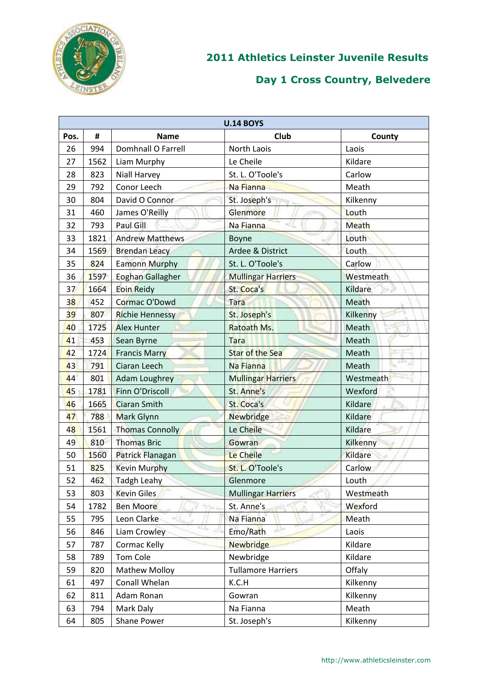

|      | <b>U.14 BOYS</b> |                        |                           |           |  |
|------|------------------|------------------------|---------------------------|-----------|--|
| Pos. | #                | <b>Name</b>            | Club                      | County    |  |
| 26   | 994              | Domhnall O Farrell     | North Laois               | Laois     |  |
| 27   | 1562             | Liam Murphy            | Le Cheile                 | Kildare   |  |
| 28   | 823              | Niall Harvey           | St. L. O'Toole's          | Carlow    |  |
| 29   | 792              | Conor Leech            | Na Fianna                 | Meath     |  |
| 30   | 804              | David O Connor         | St. Joseph's              | Kilkenny  |  |
| 31   | 460              | James O'Reilly         | Glenmore                  | Louth     |  |
| 32   | 793              | Paul Gill              | Na Fianna                 | Meath     |  |
| 33   | 1821             | <b>Andrew Matthews</b> | Boyne                     | Louth     |  |
| 34   | 1569             | <b>Brendan Leacy</b>   | Ardee & District          | Louth     |  |
| 35   | 824              | <b>Eamonn Murphy</b>   | St. L. O'Toole's          | Carlow    |  |
| 36   | 1597             | Eoghan Gallagher       | <b>Mullingar Harriers</b> | Westmeath |  |
| 37   | 1664             | <b>Eoin Reidy</b>      | St. Coca's                | Kildare   |  |
| 38   | 452              | Cormac O'Dowd          | Tara                      | Meath     |  |
| 39   | 807              | <b>Richie Hennessy</b> | St. Joseph's              | Kilkenny  |  |
| 40   | 1725             | <b>Alex Hunter</b>     | Ratoath Ms.               | Meath     |  |
| 41   | 453              | Sean Byrne             | <b>Tara</b>               | Meath     |  |
| 42   | 1724             | <b>Francis Marry</b>   | <b>Star of the Sea</b>    | Meath     |  |
| 43   | 791              | <b>Ciaran Leech</b>    | Na Fianna                 | Meath     |  |
| 44   | 801              | <b>Adam Loughrey</b>   | <b>Mullingar Harriers</b> | Westmeath |  |
| 45   | 1781             | Finn O'Driscoll        | St. Anne's                | Wexford   |  |
| 46   | 1665             | <b>Ciaran Smith</b>    | St. Coca's                | Kildare   |  |
| 47   | 788              | Mark Glynn             | <b>Newbridge</b>          | Kildare   |  |
| 48   | 1561             | <b>Thomas Connolly</b> | Le Cheile                 | Kildare   |  |
| 49   | 810              | <b>Thomas Bric</b>     | Gowran                    | Kilkenny  |  |
| 50   | 1560             | Patrick Flanagan       | Le Cheile                 | Kildare   |  |
| 51   | 825              | <b>Kevin Murphy</b>    | St. L. O'Toole's          | Carlow    |  |
| 52   | 462              | <b>Tadgh Leahy</b>     | Glenmore                  | Louth     |  |
| 53   | 803              | <b>Kevin Giles</b>     | <b>Mullingar Harriers</b> | Westmeath |  |
| 54   | 1782             | <b>Ben Moore</b>       | St. Anne's                | Wexford   |  |
| 55   | 795              | Leon Clarke            | Na Fianna                 | Meath     |  |
| 56   | 846              | Liam Crowley           | Emo/Rath                  | Laois     |  |
| 57   | 787              | Cormac Kelly           | <b>Newbridge</b>          | Kildare   |  |
| 58   | 789              | Tom Cole               | Newbridge                 | Kildare   |  |
| 59   | 820              | <b>Mathew Molloy</b>   | <b>Tullamore Harriers</b> | Offaly    |  |
| 61   | 497              | Conall Whelan          | K.C.H                     | Kilkenny  |  |
| 62   | 811              | Adam Ronan             | Gowran                    | Kilkenny  |  |
| 63   | 794              | Mark Daly              | Na Fianna                 | Meath     |  |
| 64   | 805              | Shane Power            | St. Joseph's              | Kilkenny  |  |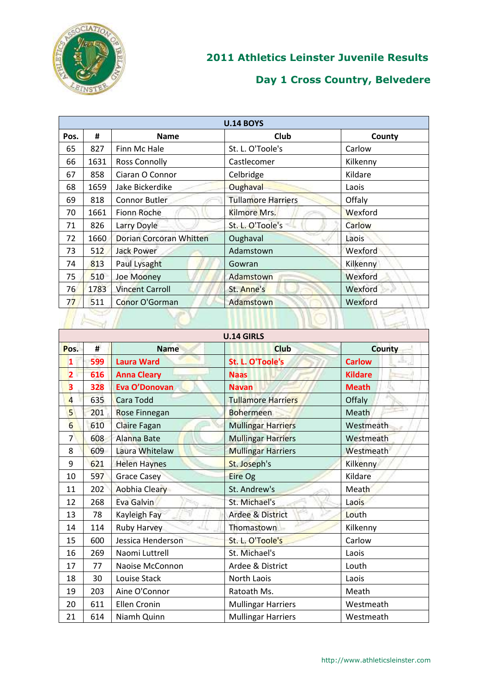

| <b>U.14 BOYS</b> |      |                         |                           |          |  |
|------------------|------|-------------------------|---------------------------|----------|--|
| Pos.             | #    | <b>Name</b>             | <b>Club</b>               | County   |  |
| 65               | 827  | Finn Mc Hale            | St. L. O'Toole's          | Carlow   |  |
| 66               | 1631 | <b>Ross Connolly</b>    | Castlecomer               | Kilkenny |  |
| 67               | 858  | Ciaran O Connor         | Celbridge                 | Kildare  |  |
| 68               | 1659 | Jake Bickerdike         | Oughaval                  | Laois    |  |
| 69               | 818  | <b>Connor Butler</b>    | <b>Tullamore Harriers</b> | Offaly   |  |
| 70               | 1661 | Fionn Roche             | Kilmore Mrs.              | Wexford  |  |
| 71               | 826  | Larry Doyle             | St. L. O'Toole's          | Carlow   |  |
| 72               | 1660 | Dorian Corcoran Whitten | Oughaval                  | Laois    |  |
| 73               | 512  | <b>Jack Power</b>       | Adamstown                 | Wexford  |  |
| 74               | 813  | Paul Lysaght            | Gowran                    | Kilkenny |  |
| 75               | 510  | Joe Mooney              | Adamstown                 | Wexford  |  |
| 76               | 1783 | <b>Vincent Carroll</b>  | St. Anne's                | Wexford  |  |
| 77               | 511  | Conor O'Gorman          | Adamstown                 | Wexford  |  |
|                  |      |                         |                           |          |  |

|                         | <b>U.14 GIRLS</b> |                     |                             |                    |  |
|-------------------------|-------------------|---------------------|-----------------------------|--------------------|--|
|                         |                   |                     |                             |                    |  |
| Pos.                    | #                 | <b>Name</b>         | <b>Club</b>                 | <b>County</b>      |  |
| $\mathbf{1}$            | 599               | <b>Laura Ward</b>   | St. L. O'Toole's            | 山<br><b>Carlow</b> |  |
| $\overline{\mathbf{2}}$ | 616               | <b>Anna Cleary</b>  | <b>Naas</b>                 | <b>Kildare</b>     |  |
| $\overline{\mathbf{3}}$ | 328               | Eva O'Donovan       | <b>Navan</b>                | <b>Meath</b>       |  |
| $\overline{a}$          | 635               | Cara Todd           | <b>Tullamore Harriers</b>   | Offaly             |  |
| 5                       | 201               | Rose Finnegan       | <b>Bohermeen</b>            | Meath              |  |
| 6                       | 610               | Claire Fagan        | <b>Mullingar Harriers</b>   | Westmeath          |  |
| $\overline{7}$          | 608               | <b>Alanna Bate</b>  | <b>Mullingar Harriers</b>   | Westmeath          |  |
| 8                       | 609               | Laura Whitelaw      | <b>Mullingar Harriers</b>   | Westmeath          |  |
| 9                       | 621               | <b>Helen Haynes</b> | St. Joseph's                | Kilkenny           |  |
| 10                      | 597               | <b>Grace Casey</b>  | Eire Og                     | Kildare            |  |
| 11                      | 202               | Aobhia Cleary       | St. Andrew's                | Meath              |  |
| 12                      | 268               | Eva Galvin          | St. Michael's               | Laois              |  |
| 13                      | 78                | Kayleigh Fay        | <b>Ardee &amp; District</b> | Louth              |  |
| 14                      | 114               | <b>Ruby Harvey</b>  | Thomastown                  | Kilkenny           |  |
| 15                      | 600               | Jessica Henderson   | St. L. O'Toole's            | Carlow             |  |
| 16                      | 269               | Naomi Luttrell      | St. Michael's               | Laois              |  |
| 17                      | 77                | Naoise McConnon     | Ardee & District            | Louth              |  |
| 18                      | 30                | Louise Stack        | North Laois                 | Laois              |  |
| 19                      | 203               | Aine O'Connor       | Ratoath Ms.                 | Meath              |  |
| 20                      | 611               | <b>Ellen Cronin</b> | <b>Mullingar Harriers</b>   | Westmeath          |  |
| 21                      | 614               | Niamh Quinn         | <b>Mullingar Harriers</b>   | Westmeath          |  |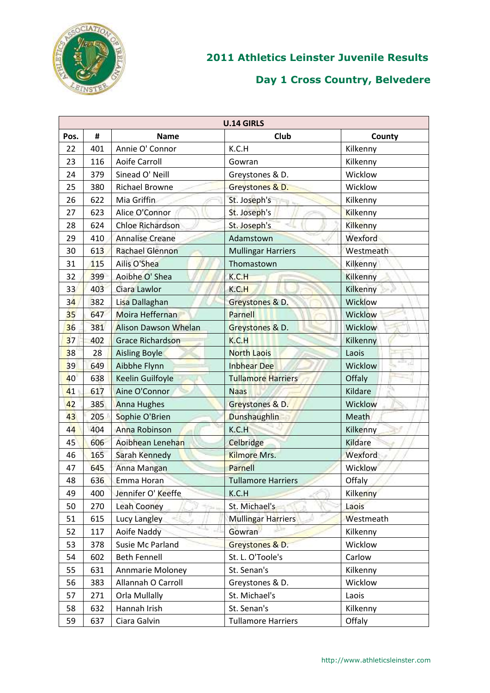

|      |     |                             | <b>U.14 GIRLS</b>         |                 |  |
|------|-----|-----------------------------|---------------------------|-----------------|--|
| Pos. | #   | <b>Name</b>                 | Club                      | County          |  |
| 22   | 401 | Annie O' Connor             | K.C.H                     | Kilkenny        |  |
| 23   | 116 | <b>Aoife Carroll</b>        | Gowran                    | Kilkenny        |  |
| 24   | 379 | Sinead O' Neill             | Greystones & D.           | Wicklow         |  |
| 25   | 380 | <b>Richael Browne</b>       | Greystones & D.           | Wicklow         |  |
| 26   | 622 | Mia Griffin                 | St. Joseph's<br>FRI N     | Kilkenny        |  |
| 27   | 623 | Alice O'Connor              | St. Joseph's              | Kilkenny        |  |
| 28   | 624 | Chloe Richardson            | St. Joseph's              | Kilkenny        |  |
| 29   | 410 | <b>Annalise Creane</b>      | Adamstown                 | Wexford         |  |
| 30   | 613 | <b>Rachael Glennon</b>      | <b>Mullingar Harriers</b> | Westmeath       |  |
| 31   | 115 | Ailis O'Shea                | Thomastown                | Kilkenny        |  |
| 32   | 399 | Aoibhe O' Shea              | K.C.H                     | <b>Kilkenny</b> |  |
| 33   | 403 | Ciara Lawlor                | K.C.H                     | Kilkenny        |  |
| 34   | 382 | Lisa Dallaghan              | Greystones & D.           | Wicklow         |  |
| 35   | 647 | Moira Heffernan             | <b>Parnell</b>            | Wicklow         |  |
| 36   | 381 | <b>Alison Dawson Whelan</b> | Greystones & D.           | <b>Wicklow</b>  |  |
| 37   | 402 | <b>Grace Richardson</b>     | K.C.H                     | Kilkenny        |  |
| 38   | 28  | <b>Aisling Boyle</b>        | <b>North Laois</b>        | Laois           |  |
| 39   | 649 | Aibbhe Flynn                | <b>Inbhear Dee</b>        | Wicklow         |  |
| 40   | 638 | <b>Keelin Guilfoyle</b>     | <b>Tullamore Harriers</b> | Offaly          |  |
| 41   | 617 | Aine O'Connor               | <b>Naas</b>               | Kildare         |  |
| 42   | 385 | <b>Anna Hughes</b>          | Greystones & D.           | Wicklow         |  |
| 43   | 205 | Sophie O'Brien              | <b>Dunshaughlin</b>       | Meath           |  |
| 44   | 404 | Anna Robinson               | K.C.H                     | Kilkenny        |  |
| 45   | 606 | Aoibhean Lenehan            | Celbridge                 | Kildare         |  |
| 46   | 165 | Sarah Kennedy               | <b>Kilmore Mrs.</b>       | <b>Wexford</b>  |  |
| 47   | 645 | Anna Mangan                 | Parnell                   | <b>Wicklow</b>  |  |
| 48   | 636 | Emma Horan                  | <b>Tullamore Harriers</b> | Offaly          |  |
| 49   | 400 | Jennifer O' Keeffe          | K.C.H                     | Kilkenny        |  |
| 50   | 270 | <b>Leah Cooney</b>          | St. Michael's             | Laois           |  |
| 51   | 615 | Lucy Langley                | <b>Mullingar Harriers</b> | Westmeath       |  |
| 52   | 117 | Aoife Naddy                 | Gowran                    | Kilkenny        |  |
| 53   | 378 | Susie Mc Parland            | Greystones & D.           | Wicklow         |  |
| 54   | 602 | <b>Beth Fennell</b>         | St. L. O'Toole's          | Carlow          |  |
| 55   | 631 | Annmarie Moloney            | St. Senan's               | Kilkenny        |  |
| 56   | 383 | Allannah O Carroll          | Greystones & D.           | Wicklow         |  |
| 57   | 271 | Orla Mullally               | St. Michael's             | Laois           |  |
| 58   | 632 | Hannah Irish                | St. Senan's               | Kilkenny        |  |
| 59   | 637 | Ciara Galvin                | <b>Tullamore Harriers</b> | Offaly          |  |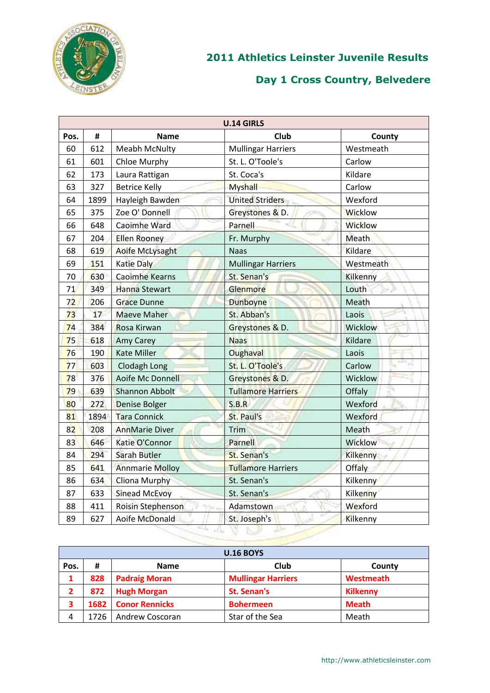

|      | <b>U.14 GIRLS</b> |                        |                           |                  |  |  |
|------|-------------------|------------------------|---------------------------|------------------|--|--|
| Pos. | #                 | County                 |                           |                  |  |  |
| 60   | 612               | <b>Meabh McNulty</b>   | <b>Mullingar Harriers</b> | Westmeath        |  |  |
| 61   | 601               | Chloe Murphy           | St. L. O'Toole's          | Carlow           |  |  |
| 62   | 173               | Laura Rattigan         | St. Coca's                | Kildare          |  |  |
| 63   | 327               | <b>Betrice Kelly</b>   | <b>Myshall</b>            | Carlow           |  |  |
| 64   | 1899              | Hayleigh Bawden        | <b>United Striders</b>    | Wexford          |  |  |
| 65   | 375               | Zoe O' Donnell         | Greystones & D.           | <b>Wicklow</b>   |  |  |
| 66   | 648               | <b>Caoimhe Ward</b>    | Parnell                   | <b>Wicklow</b>   |  |  |
| 67   | 204               | <b>Ellen Rooney</b>    | Fr. Murphy                | Meath            |  |  |
| 68   | 619               | Aoife McLysaght        | <b>Naas</b>               | Kildare          |  |  |
| 69   | 151               | <b>Katie Daly</b>      | <b>Mullingar Harriers</b> | Westmeath        |  |  |
| 70   | 630               | <b>Caoimhe Kearns</b>  | St. Senan's               | <b>Kilkenny</b>  |  |  |
| 71   | 349               | <b>Hanna Stewart</b>   | Glenmore                  | Louth            |  |  |
| 72   | 206               | <b>Grace Dunne</b>     | Dunboyne                  | Meath            |  |  |
| 73   | 17                | <b>Maeve Maher</b>     | St. Abban's               | Laois            |  |  |
| 74   | 384               | Rosa Kirwan            | Greystones & D.           | Wicklow          |  |  |
| 75   | 618               | <b>Amy Carey</b>       | <b>Naas</b>               | Kildare          |  |  |
| 76   | 190               | <b>Kate Miller</b>     | Oughaval                  | Laois            |  |  |
| 77   | 603               | <b>Clodagh Long</b>    | St. L. O'Toole's          | $\sim$<br>Carlow |  |  |
| 78   | 376               | Aoife Mc Donnell       | Greystones & D.           | Wicklow          |  |  |
| 79   | 639               | Shannon Abbolt         | <b>Tullamore Harriers</b> | Offaly           |  |  |
| 80   | 272               | <b>Denise Bolger</b>   | S.B.R                     | Wexford          |  |  |
| 81   | 1894              | <b>Tara Connick</b>    | St. Paul's                | Wexford          |  |  |
| 82   | 208               | <b>AnnMarie Diver</b>  | Trim                      | Meath            |  |  |
| 83   | 646               | Katie O'Connor         | Parnell                   | Wicklow          |  |  |
| 84   | 294               | <b>Sarah Butler</b>    | <b>St. Senan's</b>        | Kilkenny         |  |  |
| 85   | 641               | <b>Annmarie Molloy</b> | <b>Tullamore Harriers</b> | Offaly           |  |  |
| 86   | 634               | <b>Cliona Murphy</b>   | St. Senan's               | Kilkenny         |  |  |
| 87   | 633               | <b>Sinead McEvoy</b>   | St. Senan's               | Kilkenny         |  |  |
| 88   | 411               | Roisin Stephenson      | Adamstown                 | Wexford          |  |  |
| 89   | 627               | Aoife McDonald         | St. Joseph's              | Kilkenny         |  |  |
|      |                   | -4                     |                           |                  |  |  |

|      | <b>U.16 BOYS</b> |                       |                           |                 |  |  |  |
|------|------------------|-----------------------|---------------------------|-----------------|--|--|--|
| Pos. | County           |                       |                           |                 |  |  |  |
| 1    | 828              | <b>Padraig Moran</b>  | <b>Mullingar Harriers</b> | Westmeath       |  |  |  |
|      | 872              | <b>Hugh Morgan</b>    | St. Senan's               | <b>Kilkenny</b> |  |  |  |
| 3    | 1682             | <b>Conor Rennicks</b> | <b>Bohermeen</b>          | <b>Meath</b>    |  |  |  |
| 4    | 1726             | Andrew Coscoran       | Star of the Sea           | Meath           |  |  |  |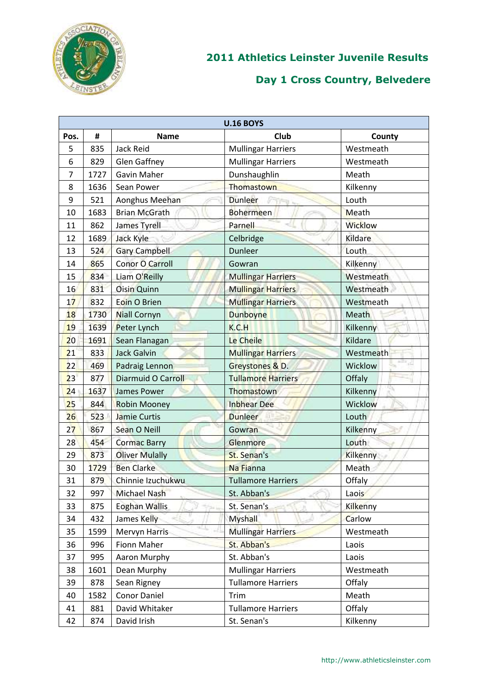

|                | <b>U.16 BOYS</b> |                           |                           |                 |  |  |  |
|----------------|------------------|---------------------------|---------------------------|-----------------|--|--|--|
| Pos.           | #                | <b>Name</b>               | Club                      | County          |  |  |  |
| 5              | 835              | Jack Reid                 | <b>Mullingar Harriers</b> | Westmeath       |  |  |  |
| 6              | 829              | <b>Glen Gaffney</b>       | <b>Mullingar Harriers</b> | Westmeath       |  |  |  |
| $\overline{7}$ | 1727             | <b>Gavin Maher</b>        | Dunshaughlin              | Meath           |  |  |  |
| 8              | 1636             | Sean Power                | Thomastown                | Kilkenny        |  |  |  |
| 9              | 521              | Aonghus Meehan            | <b>Dunleer</b><br>ŦĒ      | Louth           |  |  |  |
| 10             | 1683             | <b>Brian McGrath</b>      | <b>Bohermeen</b>          | Meath           |  |  |  |
| 11             | 862              | James Tyrell              | Parnell                   | <b>Wicklow</b>  |  |  |  |
| 12             | 1689             | Jack Kyle                 | Celbridge                 | Kildare         |  |  |  |
| 13             | 524              | <b>Gary Campbell</b>      | Dunleer                   | Louth           |  |  |  |
| 14             | 865              | <b>Conor O Carroll</b>    | Gowran                    | Kilkenny        |  |  |  |
| 15             | 834              | Liam O'Reilly             | <b>Mullingar Harriers</b> | Westmeath       |  |  |  |
| 16             | 831              | <b>Oisin Quinn</b>        | <b>Mullingar Harriers</b> | Westmeath       |  |  |  |
| 17             | 832              | Eoin O Brien              | <b>Mullingar Harriers</b> | Westmeath       |  |  |  |
| 18             | 1730             | <b>Niall Cornyn</b>       | <b>Dunboyne</b>           | Meath           |  |  |  |
| 19             | 1639             | Peter Lynch               | K.C.H                     | Kilkenny        |  |  |  |
| 20             | 1691             | Sean Flanagan             | Le Cheile                 | Kildare         |  |  |  |
| 21             | 833              | <b>Jack Galvin</b>        | <b>Mullingar Harriers</b> | Westmeath       |  |  |  |
| 22             | 469              | Padraig Lennon            | Greystones & D.           | Wicklow         |  |  |  |
| 23             | 877              | <b>Diarmuid O Carroll</b> | <b>Tullamore Harriers</b> | Offaly          |  |  |  |
| 24             | 1637             | <b>James Power</b>        | Thomastown                | Kilkenny        |  |  |  |
| 25             | 844              | <b>Robin Mooney</b>       | <b>Inbhear Dee</b>        | Wicklow         |  |  |  |
| 26             | 523              | Jamie Curtis              | <b>Dunleer</b>            | Louth           |  |  |  |
| 27             | 867              | Sean O Neill              | Gowran                    | Kilkenny        |  |  |  |
| 28             | 454              | <b>Cormac Barry</b>       | Glenmore                  | Louth           |  |  |  |
| 29             | 873              | <b>Oliver Mulally</b>     | St. Senan's               | Kilkenny        |  |  |  |
| 30             | 1729             | <b>Ben Clarke</b>         | Na Fianna                 | Meath           |  |  |  |
| 31             | 879              | Chinnie Izuchukwu         | <b>Tullamore Harriers</b> | Offaly          |  |  |  |
| 32             | 997              | Michael Nash              | St. Abban's               | Laois           |  |  |  |
| 33             | 875              | <b>Eoghan Wallis</b>      | St. Senan's               | <b>Kilkenny</b> |  |  |  |
| 34             | 432              | James Kelly               | <b>Myshall</b>            | Carlow          |  |  |  |
| 35             | 1599             | Mervyn Harris             | <b>Mullingar Harriers</b> | Westmeath       |  |  |  |
| 36             | 996              | Fionn Maher               | St. Abban's               | Laois           |  |  |  |
| 37             | 995              | Aaron Murphy              | St. Abban's               | Laois           |  |  |  |
| 38             | 1601             | Dean Murphy               | <b>Mullingar Harriers</b> | Westmeath       |  |  |  |
| 39             | 878              | Sean Rigney               | <b>Tullamore Harriers</b> | Offaly          |  |  |  |
| 40             | 1582             | Conor Daniel              | Trim                      | Meath           |  |  |  |
| 41             | 881              | David Whitaker            | <b>Tullamore Harriers</b> | Offaly          |  |  |  |
| 42             | 874              | David Irish               | St. Senan's               | Kilkenny        |  |  |  |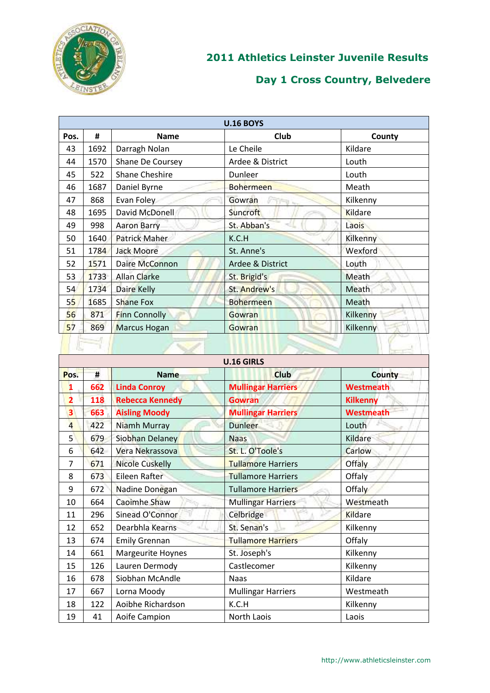

|      | <b>U.16 BOYS</b> |                       |                  |          |  |  |
|------|------------------|-----------------------|------------------|----------|--|--|
| Pos. | #                | <b>Name</b>           | <b>Club</b>      | County   |  |  |
| 43   | 1692             | Darragh Nolan         | Le Cheile        | Kildare  |  |  |
| 44   | 1570             | Shane De Coursey      | Ardee & District | Louth    |  |  |
| 45   | 522              | <b>Shane Cheshire</b> | Dunleer          | Louth    |  |  |
| 46   | 1687             | Daniel Byrne          | <b>Bohermeen</b> | Meath    |  |  |
| 47   | 868              | Evan Foley            | Gowran           | Kilkenny |  |  |
| 48   | 1695             | David McDonell        | <b>Suncroft</b>  | Kildare  |  |  |
| 49   | 998              | <b>Aaron Barry</b>    | St. Abban's      | Laois    |  |  |
| 50   | 1640             | <b>Patrick Maher</b>  | K.C.H            | Kilkenny |  |  |
| 51   | 1784             | <b>Jack Moore</b>     | St. Anne's       | Wexford  |  |  |
| 52   | 1571             | Daire McConnon        | Ardee & District | Louth    |  |  |
| 53   | 1733             | <b>Allan Clarke</b>   | St. Brigid's     | Meath    |  |  |
| 54   | 1734             | <b>Daire Kelly</b>    | St. Andrew's     | Meath    |  |  |
| 55   | 1685             | <b>Shane Fox</b>      | <b>Bohermeen</b> | Meath    |  |  |
| 56   | 871              | <b>Finn Connolly</b>  | Gowran           | Kilkenny |  |  |
| 57   | 869              | Marcus Hogan          | Gowran           | Kilkenny |  |  |
|      |                  |                       |                  |          |  |  |

|                | <b>U.16 GIRLS</b> |                        |                           |                  |  |  |  |  |
|----------------|-------------------|------------------------|---------------------------|------------------|--|--|--|--|
| Pos.           | #                 | <b>Name</b>            | <b>Club</b>               | <b>County</b>    |  |  |  |  |
| 1              | 662               | <b>Linda Conroy</b>    | <b>Mullingar Harriers</b> | <b>Westmeath</b> |  |  |  |  |
| $\overline{2}$ | 118               | <b>Rebecca Kennedy</b> | <b>Gowran</b>             | <b>Kilkenny</b>  |  |  |  |  |
| 3              | 663               | <b>Aisling Moody</b>   | <b>Mullingar Harriers</b> | <b>Westmeath</b> |  |  |  |  |
| $\overline{4}$ | 422               | Niamh Murray           | <b>Dunleer</b>            | Louth            |  |  |  |  |
| 5 <sup>1</sup> | 679               | Siobhan Delaney        | <b>Naas</b>               | Kildare          |  |  |  |  |
| 6              | 642               | Vera Nekrassova        | St. L. O'Toole's          | Carlow           |  |  |  |  |
| 7              | 671               | <b>Nicole Cuskelly</b> | <b>Tullamore Harriers</b> | <b>Offaly</b>    |  |  |  |  |
| 8              | 673               | Eileen Rafter          | <b>Tullamore Harriers</b> | Offaly           |  |  |  |  |
| 9              | 672               | Nadine Donegan         | <b>Tullamore Harriers</b> | <b>Offaly</b>    |  |  |  |  |
| 10             | 664               | Caoimhe Shaw           | <b>Mullingar Harriers</b> | Westmeath        |  |  |  |  |
| 11             | 296               | Sinead O'Connor        | Celbridge                 | <b>Kildare</b>   |  |  |  |  |
| 12             | 652               | Dearbhla Kearns        | St. Senan's               | Kilkenny         |  |  |  |  |
| 13             | 674               | <b>Emily Grennan</b>   | <b>Tullamore Harriers</b> | Offaly           |  |  |  |  |
| 14             | 661               | Margeurite Hoynes      | St. Joseph's              | Kilkenny         |  |  |  |  |
| 15             | 126               | Lauren Dermody         | Castlecomer               | Kilkenny         |  |  |  |  |
| 16             | 678               | Siobhan McAndle        | <b>Naas</b>               | Kildare          |  |  |  |  |
| 17             | 667               | Lorna Moody            | <b>Mullingar Harriers</b> | Westmeath        |  |  |  |  |
| 18             | 122               | Aoibhe Richardson      | K.C.H                     | Kilkenny         |  |  |  |  |
| 19             | 41                | Aoife Campion          | North Laois<br>Laois      |                  |  |  |  |  |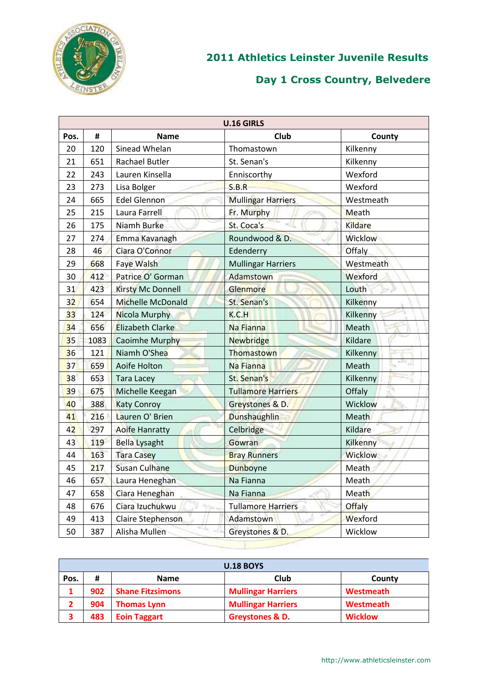

|                 | <b>U.16 GIRLS</b> |                          |                           |                |  |  |  |
|-----------------|-------------------|--------------------------|---------------------------|----------------|--|--|--|
| Pos.            | #                 | <b>Name</b>              | Club                      | County         |  |  |  |
| 20              | 120               | Sinead Whelan            | Thomastown                | Kilkenny       |  |  |  |
| 21              | 651               | <b>Rachael Butler</b>    | St. Senan's               | Kilkenny       |  |  |  |
| 22              | 243               | Lauren Kinsella          | Enniscorthy               | Wexford        |  |  |  |
| 23              | 273               | Lisa Bolger              | S.B.R                     | Wexford        |  |  |  |
| 24              | 665               | <b>Edel Glennon</b>      | <b>Mullingar Harriers</b> | Westmeath      |  |  |  |
| 25              | 215               | Laura Farrell            | Fr. Murphy                | Meath          |  |  |  |
| 26              | 175               | Niamh Burke              | St. Coca's                | Kildare        |  |  |  |
| 27              | 274               | Emma Kavanagh            | Roundwood & D.            | <b>Wicklow</b> |  |  |  |
| 28              | 46                | Ciara O'Connor           | Edenderry                 | Offaly         |  |  |  |
| 29              | 668               | <b>Faye Walsh</b>        | <b>Mullingar Harriers</b> | Westmeath      |  |  |  |
| 30              | 412               | Patrice O' Gorman        | Adamstown                 | Wexford        |  |  |  |
| 31              | 423               | <b>Kirsty Mc Donnell</b> | Glenmore                  | Louth          |  |  |  |
| 32              | 654               | Michelle McDonald        | St. Senan's               | Kilkenny       |  |  |  |
| 33 <sup>3</sup> | 124               | Nicola Murphy            | K.C.H                     | Kilkenny       |  |  |  |
| 34              | 656               | <b>Elizabeth Clarke</b>  | Na Fianna                 | Meath          |  |  |  |
| 35              | 1083              | Caoimhe Murphy           | <b>Newbridge</b>          | Kildare        |  |  |  |
| 36              | 121               | Niamh O'Shea             | Thomastown                | Kilkenny       |  |  |  |
| 37              | 659               | <b>Aoife Holton</b>      | Na Fianna                 | z<br>Meath     |  |  |  |
| 38              | 653               | <b>Tara Lacey</b>        | St. Senan's               | Kilkenny       |  |  |  |
| 39              | 675               | Michelle Keegan          | <b>Tullamore Harriers</b> | Offaly         |  |  |  |
| 40              | 388               | <b>Katy Conroy</b>       | Greystones & D.           | Wicklow        |  |  |  |
| 41              | 216               | Lauren O' Brien          | Dunshaughlin              | Meath          |  |  |  |
| 42              | 297               | Aoife Hanratty           | Celbridge                 | Kildare        |  |  |  |
| 43              | 119               | <b>Bella Lysaght</b>     | Gowran                    | Kilkenny       |  |  |  |
| 44              | 163               | <b>Tara Casey</b>        | <b>Bray Runners</b>       | <b>Wicklow</b> |  |  |  |
| 45              | 217               | <b>Susan Culhane</b>     | <b>Dunboyne</b>           | Meath          |  |  |  |
| 46              | 657               | Laura Heneghan           | Na Fianna                 | Meath          |  |  |  |
| 47              | 658               | Ciara Heneghan           | Na Fianna                 | Meath          |  |  |  |
| 48              | 676               | Ciara Izuchukwu          | <b>Tullamore Harriers</b> | <b>Offaly</b>  |  |  |  |
| 49              | 413               | Claire Stephenson        | Adamstown                 | Wexford        |  |  |  |
| 50              | 387               | Alisha Mullen            | Greystones & D.           | Wicklow        |  |  |  |
|                 |                   |                          |                           |                |  |  |  |

| <b>U.18 BOYS</b>                           |     |                         |                           |                |  |  |
|--------------------------------------------|-----|-------------------------|---------------------------|----------------|--|--|
| Club<br>#<br>Pos.<br><b>Name</b><br>County |     |                         |                           |                |  |  |
|                                            | 902 | <b>Shane Fitzsimons</b> | <b>Mullingar Harriers</b> | Westmeath      |  |  |
|                                            | 904 | <b>Thomas Lynn</b>      | <b>Mullingar Harriers</b> | Westmeath      |  |  |
|                                            | 483 | <b>Eoin Taggart</b>     | Greystones & D.           | <b>Wicklow</b> |  |  |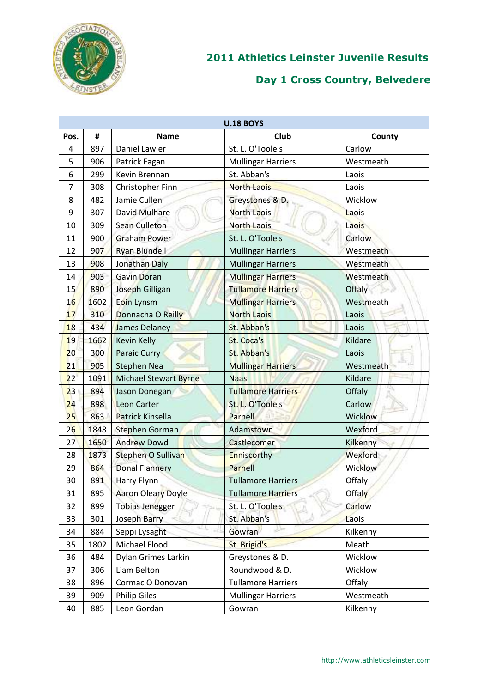

| <b>U.18 BOYS</b> |      |                              |                           |           |  |  |
|------------------|------|------------------------------|---------------------------|-----------|--|--|
| Pos.             | #    | <b>Name</b>                  | Club                      | County    |  |  |
| 4                | 897  | Daniel Lawler                | St. L. O'Toole's          | Carlow    |  |  |
| 5                | 906  | Patrick Fagan                | <b>Mullingar Harriers</b> | Westmeath |  |  |
| 6                | 299  | Kevin Brennan                | St. Abban's               | Laois     |  |  |
| 7                | 308  | Christopher Finn             | <b>North Laois</b>        | Laois     |  |  |
| 8                | 482  | Jamie Cullen                 | Greystones & D.           | Wicklow   |  |  |
| 9                | 307  | David Mulhare                | <b>North Laois</b>        | Laois     |  |  |
| 10               | 309  | Sean Culleton                | <b>North Laois</b>        | Laois     |  |  |
| 11               | 900  | <b>Graham Power</b>          | St. L. O'Toole's          | Carlow    |  |  |
| 12               | 907  | <b>Ryan Blundell</b>         | <b>Mullingar Harriers</b> | Westmeath |  |  |
| 13               | 908  | Jonathan Daly                | <b>Mullingar Harriers</b> | Westmeath |  |  |
| 14               | 903  | <b>Gavin Doran</b>           | <b>Mullingar Harriers</b> | Westmeath |  |  |
| 15               | 890  | Joseph Gilligan              | <b>Tullamore Harriers</b> | Offaly    |  |  |
| 16               | 1602 | Eoin Lynsm                   | <b>Mullingar Harriers</b> | Westmeath |  |  |
| 17               | 310  | Donnacha O Reilly            | <b>North Laois</b>        | Laois     |  |  |
| 18               | 434  | James Delaney                | St. Abban's               | Laois     |  |  |
| 19               | 1662 | <b>Kevin Kelly</b>           | St. Coca's                | Kildare   |  |  |
| 20               | 300  | <b>Paraic Curry</b>          | St. Abban's               | Laois     |  |  |
| 21               | 905  | <b>Stephen Nea</b>           | <b>Mullingar Harriers</b> | Westmeath |  |  |
| 22               | 1091 | <b>Michael Stewart Byrne</b> | <b>Naas</b>               | Kildare   |  |  |
| 23               | 894  | Jason Donegan                | <b>Tullamore Harriers</b> | Offaly    |  |  |
| 24               | 898  | <b>Leon Carter</b>           | St. L. O'Toole's          | Carlow    |  |  |
| 25               | 863  | <b>Patrick Kinsella</b>      | Parnell                   | Wicklow   |  |  |
| 26               | 1848 | <b>Stephen Gorman</b>        | Adamstown                 | Wexford   |  |  |
| 27               | 1650 | <b>Andrew Dowd</b>           | Castlecomer               | Kilkenny  |  |  |
| 28               | 1873 | Stephen O Sullivan           | Enniscorthy               | Wexford   |  |  |
| 29               | 864  | <b>Donal Flannery</b>        | Parnell                   | Wicklow   |  |  |
| 30               | 891  | Harry Flynn                  | <b>Tullamore Harriers</b> | Offaly    |  |  |
| 31               | 895  | <b>Aaron Oleary Doyle</b>    | <b>Tullamore Harriers</b> | Offaly    |  |  |
| 32               | 899  | <b>Tobias Jenegger</b>       | St. L. O'Toole's          | Carlow    |  |  |
| 33               | 301  | Joseph Barry                 | St. Abban's               | Laois     |  |  |
| 34               | 884  | Seppi Lysaght                | Gowran                    | Kilkenny  |  |  |
| 35               | 1802 | Michael Flood                | St. Brigid's              | Meath     |  |  |
| 36               | 484  | Dylan Grimes Larkin          | Greystones & D.           | Wicklow   |  |  |
| 37               | 306  | Liam Belton                  | Roundwood & D.            | Wicklow   |  |  |
| 38               | 896  | Cormac O Donovan             | <b>Tullamore Harriers</b> | Offaly    |  |  |
| 39               | 909  | <b>Philip Giles</b>          | <b>Mullingar Harriers</b> | Westmeath |  |  |
| 40               | 885  | Leon Gordan                  | Gowran                    | Kilkenny  |  |  |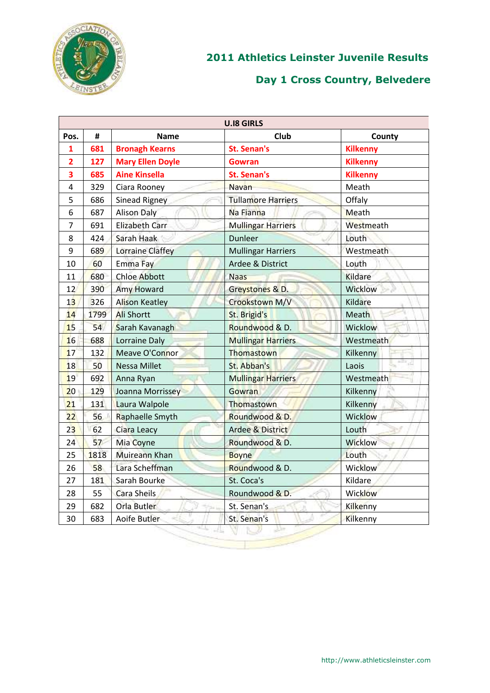

|                                                   | <b>U.I8 GIRLS</b> |                         |                             |                 |  |  |  |
|---------------------------------------------------|-------------------|-------------------------|-----------------------------|-----------------|--|--|--|
| <b>Club</b><br>#<br>Pos.<br><b>Name</b><br>County |                   |                         |                             |                 |  |  |  |
| 1                                                 | 681               | <b>Bronagh Kearns</b>   | <b>St. Senan's</b>          | <b>Kilkenny</b> |  |  |  |
| $\overline{\mathbf{c}}$                           | 127               | <b>Mary Ellen Doyle</b> | <b>Gowran</b>               | <b>Kilkenny</b> |  |  |  |
| 3                                                 | 685               | <b>Aine Kinsella</b>    | St. Senan's                 | <b>Kilkenny</b> |  |  |  |
| 4                                                 | 329               | Ciara Rooney            | <b>Navan</b>                | Meath           |  |  |  |
| 5                                                 | 686               | Sinead Rigney           | <b>Tullamore Harriers</b>   | Offaly          |  |  |  |
| 6                                                 | 687               | <b>Alison Daly</b>      | Na Fianna                   | Meath           |  |  |  |
| $\overline{7}$                                    | 691               | <b>Elizabeth Carr</b>   | <b>Mullingar Harriers</b>   | Westmeath       |  |  |  |
| 8                                                 | 424               | Sarah Haak              | <b>Dunleer</b>              | Louth           |  |  |  |
| 9                                                 | 689               | Lorraine Claffey        | <b>Mullingar Harriers</b>   | Westmeath       |  |  |  |
| 10                                                | 60                | Emma Fay                | Ardee & District            | Louth           |  |  |  |
| 11                                                | 680               | <b>Chloe Abbott</b>     | <b>Naas</b>                 | <b>Kildare</b>  |  |  |  |
| 12                                                | 390               | <b>Amy Howard</b>       | Greystones & D.             | Wicklow         |  |  |  |
| 13                                                | 326               | <b>Alison Keatley</b>   | Crookstown M/V              | Kildare         |  |  |  |
| 14                                                | 1799              | <b>Ali Shortt</b>       | St. Brigid's                | Meath           |  |  |  |
| 15                                                | 54                | Sarah Kavanagh          | Roundwood & D.              | Wicklow         |  |  |  |
| 16                                                | 688               | Lorraine Daly           | <b>Mullingar Harriers</b>   | Westmeath       |  |  |  |
| 17                                                | 132               | Meave O'Connor          | Thomastown                  | Kilkenny        |  |  |  |
| 18                                                | 50                | <b>Nessa Millet</b>     | St. Abban's                 | Laois           |  |  |  |
| 19                                                | 692               | Anna Ryan               | <b>Mullingar Harriers</b>   | Westmeath       |  |  |  |
| 20 <sub>2</sub>                                   | 129               | Joanna Morrissey        | Gowran                      | Kilkenny        |  |  |  |
| 21                                                | 131               | Laura Walpole           | Thomastown                  | Kilkenny        |  |  |  |
| 22                                                | 56                | Raphaelle Smyth         | Roundwood & D.              | Wicklow         |  |  |  |
| 23                                                | 62                | Ciara Leacy             | <b>Ardee &amp; District</b> | Louth           |  |  |  |
| 24                                                | 57                | Mia Coyne               | Roundwood & D.              | Wicklow         |  |  |  |
| 25                                                | 1818              | <b>Muireann Khan</b>    | <b>Boyne</b>                | Louth           |  |  |  |
| 26                                                | 58                | Lara Scheffman          | Roundwood & D.              | Wicklow         |  |  |  |
| 27                                                | 181               | Sarah Bourke            | St. Coca's                  | Kildare         |  |  |  |
| 28                                                | 55                | Cara Sheils             | Roundwood & D.              | Wicklow         |  |  |  |
| 29                                                | 682               | Orla Butler             | St. Senan's                 | Kilkenny        |  |  |  |
| 30                                                | 683               | Aoife Butler            | St. Senan's                 | Kilkenny        |  |  |  |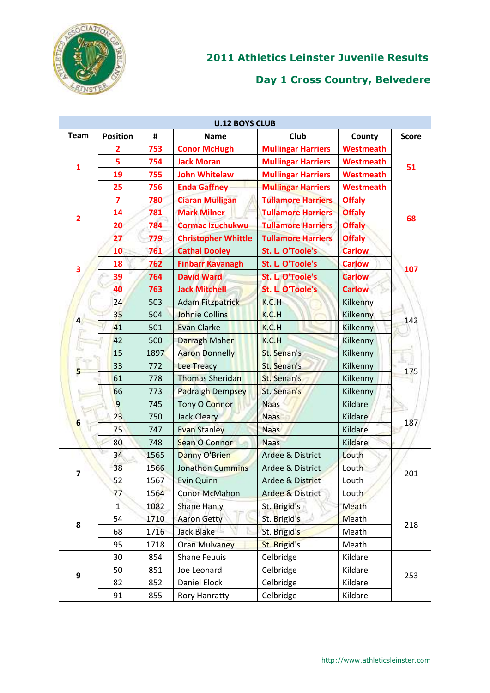

|                         | <b>U.12 BOYS CLUB</b>   |      |                            |                             |                  |              |  |
|-------------------------|-------------------------|------|----------------------------|-----------------------------|------------------|--------------|--|
| <b>Team</b>             | <b>Position</b>         | #    | <b>Name</b>                | Club                        | County           | <b>Score</b> |  |
|                         | $\overline{\mathbf{2}}$ | 753  | <b>Conor McHugh</b>        | <b>Mullingar Harriers</b>   | <b>Westmeath</b> |              |  |
|                         | 5                       | 754  | <b>Jack Moran</b>          | <b>Mullingar Harriers</b>   | <b>Westmeath</b> | 51           |  |
| 1                       | 19                      | 755  | <b>John Whitelaw</b>       | <b>Mullingar Harriers</b>   | <b>Westmeath</b> |              |  |
|                         | 25                      | 756  | <b>Enda Gaffney</b>        | <b>Mullingar Harriers</b>   | <b>Westmeath</b> |              |  |
|                         | $\overline{\mathbf{z}}$ | 780  | <b>Ciaran Mulligan</b>     | <b>Tullamore Harriers</b>   | <b>Offaly</b>    |              |  |
|                         | 14                      | 781  | <b>Mark Milner</b>         | <b>Tullamore Harriers</b>   | <b>Offaly</b>    | 68           |  |
| $\overline{\mathbf{2}}$ | 20                      | 784  | <b>Cormac Izuchukwu</b>    | <b>Tullamore Harriers</b>   | <b>Offaly</b>    |              |  |
|                         | 27                      | 779  | <b>Christopher Whittle</b> | <b>Tullamore Harriers</b>   | <b>Offaly</b>    |              |  |
|                         | 10                      | 761  | <b>Cathal Dooley</b>       | St. L. O'Toole's            | <b>Carlow</b>    |              |  |
| 3                       | 18                      | 762  | <b>Finbarr Kavanagh</b>    | St. L. O'Toole's            | <b>Carlow</b>    | 107          |  |
|                         | 39                      | 764  | <b>David Ward</b>          | St. L. O'Toole's            | <b>Carlow</b>    |              |  |
|                         | 40                      | 763  | <b>Jack Mitchell</b>       | St. L. O'Toole's            | <b>Carlow</b>    |              |  |
|                         | 24                      | 503  | <b>Adam Fitzpatrick</b>    | K.C.H                       | Kilkenny         |              |  |
| $\overline{\mathbf{r}}$ | 35                      | 504  | <b>Johnie Collins</b>      | K.C.H                       | Kilkenny         | 142          |  |
|                         | 41                      | 501  | <b>Evan Clarke</b>         | K.C.H                       | Kilkenny         |              |  |
|                         | 42                      | 500  | Darragh Maher              | K.C.H                       | Kilkenny         |              |  |
| n,                      | 15                      | 1897 | <b>Aaron Donnelly</b>      | St. Senan's                 | Kilkenny         |              |  |
| 5                       | 33                      | 772  | Lee Treacy                 | St. Senan's                 | Kilkenny         | 175          |  |
|                         | 61                      | 778  | <b>Thomas Sheridan</b>     | St. Senan's                 | Kilkenny         |              |  |
|                         | 66                      | 773  | <b>Padraigh Dempsey</b>    | St. Senan's                 | Kilkenny         |              |  |
| æ                       | 9                       | 745  | Tony O Connor              | <b>Naas</b>                 | Kildare          |              |  |
| 6                       | 23                      | 750  | <b>Jack Cleary</b>         | <b>Naas</b>                 | Kildare          | 187          |  |
|                         | 75                      | 747  | <b>Evan Stanley</b>        | <b>Naas</b>                 | Kildare          |              |  |
|                         | 80                      | 748  | Sean O Connor              | <b>Naas</b>                 | Kildare          |              |  |
|                         | 34                      | 1565 | Danny O'Brien              | Ardee & District            | Louth            |              |  |
| 7                       | 38                      | 1566 | <b>Jonathon Cummins</b>    | Ardee & District            | Louth            | 201          |  |
|                         | 52                      | 1567 | <b>Evin Quinn</b>          | Ardee & District            | Louth            |              |  |
|                         | 77                      | 1564 | <b>Conor McMahon</b>       | <b>Ardee &amp; District</b> | Louth            |              |  |
|                         | $\mathbf{1}$            | 1082 | <b>Shane Hanly</b>         | St. Brigid's                | Meath            |              |  |
| 8                       | 54                      | 1710 | <b>Aaron Getty</b>         | St. Brigid's                | Meath            | 218          |  |
|                         | 68                      | 1716 | Jack Blake                 | St. Brigid's                | Meath            |              |  |
|                         | 95                      | 1718 | <b>Oran Mulvaney</b>       | St. Brigid's                | Meath            |              |  |
|                         | 30                      | 854  | <b>Shane Feuuis</b>        | Celbridge                   | Kildare          |              |  |
| 9                       | 50                      | 851  | Joe Leonard                | Celbridge                   | Kildare          | 253          |  |
|                         | 82                      | 852  | Daniel Elock               | Celbridge                   | Kildare          |              |  |
|                         | 91                      | 855  | Rory Hanratty              | Celbridge                   | Kildare          |              |  |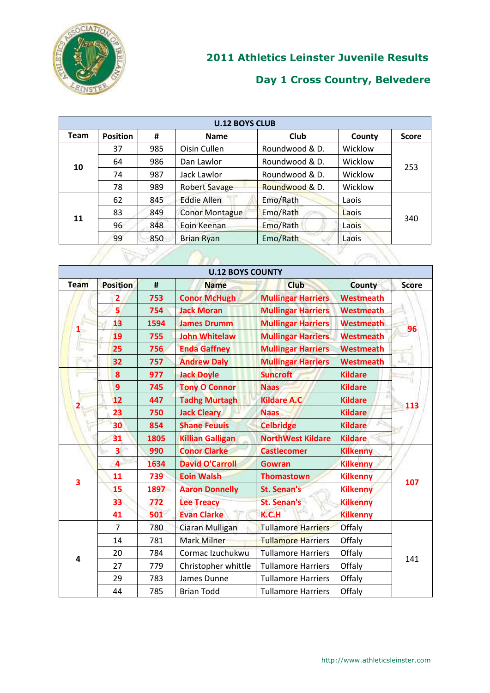

| <b>U.12 BOYS CLUB</b> |                 |     |                       |                |         |              |  |
|-----------------------|-----------------|-----|-----------------------|----------------|---------|--------------|--|
| <b>Team</b>           | <b>Position</b> | #   | <b>Name</b>           | Club           | County  | <b>Score</b> |  |
|                       | 37              | 985 | Oisin Cullen          | Roundwood & D. | Wicklow |              |  |
| 10                    | 64              | 986 | Dan Lawlor            | Roundwood & D. | Wicklow | 253          |  |
|                       | 74              | 987 | Jack Lawlor           | Roundwood & D. | Wicklow |              |  |
|                       | 78              | 989 | <b>Robert Savage</b>  | Roundwood & D. | Wicklow |              |  |
|                       | 62              | 845 | <b>Eddie Allen</b>    | Emo/Rath       | Laois   |              |  |
| 11                    | 83              | 849 | <b>Conor Montague</b> | Emo/Rath       | Laois   | 340          |  |
|                       | 96              | 848 | Eoin Keenan           | Emo/Rath       | Laois   |              |  |
|                       | 99              | 850 | <b>Brian Ryan</b>     | Emo/Rath       | Laois   |              |  |
|                       |                 |     |                       |                |         |              |  |

|      |                 |      | <b>U.12 BOYS COUNTY</b> |                           |                  |              |
|------|-----------------|------|-------------------------|---------------------------|------------------|--------------|
| Team | <b>Position</b> | #    | <b>Name</b>             | <b>Club</b>               | County           | <b>Score</b> |
|      | 2               | 753  | <b>Conor McHugh</b>     | <b>Mullingar Harriers</b> | <b>Westmeath</b> |              |
|      | 5               | 754  | <b>Jack Moran</b>       | <b>Mullingar Harriers</b> | <b>Westmeath</b> |              |
|      | 13              | 1594 | <b>James Drumm</b>      | <b>Mullingar Harriers</b> | <b>Westmeath</b> | 96           |
|      | 19              | 755  | <b>John Whitelaw</b>    | <b>Mullingar Harriers</b> | <b>Westmeath</b> |              |
|      | 25              | 756  | <b>Enda Gaffney</b>     | <b>Mullingar Harriers</b> | <b>Westmeath</b> |              |
| 3cH  | 32              | 757  | <b>Andrew Daly</b>      | <b>Mullingar Harriers</b> | <b>Westmeath</b> |              |
|      | 8               | 977  | <b>Jack Doyle</b>       | <b>Suncroft</b>           | <b>Kildare</b>   |              |
|      | 9               | 745  | <b>Tony O Connor</b>    | <b>Naas</b>               | <b>Kildare</b>   |              |
|      | 12              | 447  | <b>Tadhg Murtagh</b>    | <b>Kildare A.C</b>        | <b>Kildare</b>   | 113          |
|      | 23              | 750  | <b>Jack Cleary</b>      | <b>Naas</b>               | <b>Kildare</b>   |              |
|      | 30              | 854  | <b>Shane Feuuis</b>     | <b>Celbridge</b>          | <b>Kildare</b>   |              |
|      | 31              | 1805 | <b>Killian Galligan</b> | <b>NorthWest Kildare</b>  | <b>Kildare</b>   |              |
|      | 3               | 990  | <b>Conor Clarke</b>     | <b>Castlecomer</b>        | <b>Kilkenny</b>  |              |
|      | $\overline{4}$  | 1634 | <b>David O'Carroll</b>  | <b>Gowran</b>             | <b>Kilkenny</b>  |              |
| 3    | 11              | 739  | <b>Eoin Walsh</b>       | <b>Thomastown</b>         | <b>Kilkenny</b>  | 107          |
|      | 15              | 1897 | <b>Aaron Donnelly</b>   | St. Senan's               | <b>Kilkenny</b>  |              |
|      | 33              | 772  | <b>Lee Treacy</b>       | <b>St. Senan's</b>        | <b>Kilkenny</b>  |              |
|      | 41              | 501  | <b>Evan Clarke</b>      | K.C.H                     | <b>Kilkenny</b>  |              |
|      | 7               | 780  | Ciaran Mulligan         | <b>Tullamore Harriers</b> | Offaly           |              |
|      | 14              | 781  | <b>Mark Milner</b>      | <b>Tullamore Harriers</b> | Offaly           |              |
| 4    | 20              | 784  | Cormac Izuchukwu        | <b>Tullamore Harriers</b> | Offaly           | 141          |
|      | 27              | 779  | Christopher whittle     | <b>Tullamore Harriers</b> | Offaly           |              |
|      | 29              | 783  | James Dunne             | <b>Tullamore Harriers</b> | Offaly           |              |
|      | 44              | 785  | <b>Brian Todd</b>       | <b>Tullamore Harriers</b> | Offaly           |              |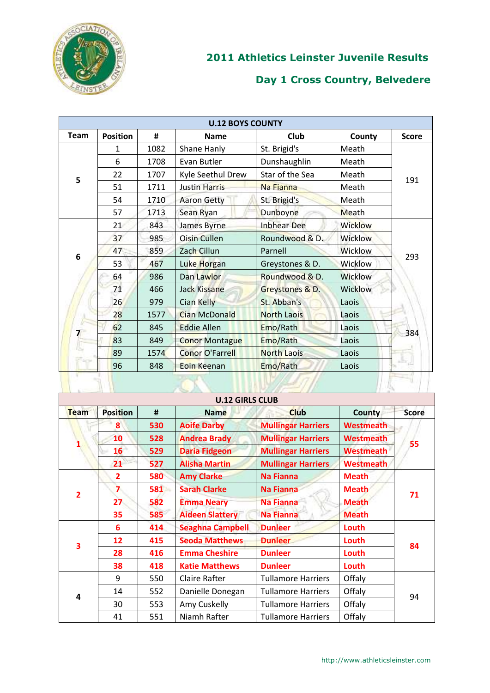

| <b>U.12 BOYS COUNTY</b> |                 |      |                        |                    |                |              |  |  |
|-------------------------|-----------------|------|------------------------|--------------------|----------------|--------------|--|--|
| <b>Team</b>             | <b>Position</b> | #    | <b>Name</b>            | <b>Club</b>        | County         | <b>Score</b> |  |  |
|                         | 1               | 1082 | Shane Hanly            | St. Brigid's       | Meath          |              |  |  |
|                         | 6               | 1708 | Evan Butler            | Dunshaughlin       | Meath          |              |  |  |
| 5                       | 22              | 1707 | Kyle Seethul Drew      | Star of the Sea    | Meath          | 191          |  |  |
|                         | 51              | 1711 | <b>Justin Harris</b>   | Na Fianna          | Meath          |              |  |  |
|                         | 54              | 1710 | <b>Aaron Getty</b>     | St. Brigid's       | Meath          |              |  |  |
|                         | 57              | 1713 | Sean Ryan              | Dunboyne           | Meath          |              |  |  |
|                         | 21              | 843  | James Byrne            | <b>Inbhear Dee</b> | <b>Wicklow</b> | 293          |  |  |
|                         | 37              | 985  | <b>Oisin Cullen</b>    | Roundwood & D.     | <b>Wicklow</b> |              |  |  |
| 6                       | 47              | 859  | Zach Cillun            | Parnell            | Wicklow        |              |  |  |
|                         | 53              | 467  | Luke Horgan            | Greystones & D.    | Wicklow        |              |  |  |
|                         | 64              | 986  | Dan Lawlor             | Roundwood & D.     | <b>Wicklow</b> |              |  |  |
|                         | 71              | 466  | <b>Jack Kissane</b>    | Greystones & D.    | Wicklow        |              |  |  |
|                         | 26              | 979  | <b>Cian Kelly</b>      | St. Abban's        | Laois          |              |  |  |
|                         | 28              | 1577 | <b>Cian McDonald</b>   | <b>North Laois</b> | Laois          |              |  |  |
| 7                       | 62              | 845  | <b>Eddie Allen</b>     | Emo/Rath           | Laois          | 384          |  |  |
|                         | 83              | 849  | <b>Conor Montague</b>  | Emo/Rath           | Laois          |              |  |  |
|                         | 89              | 1574 | <b>Conor O'Farrell</b> | <b>North Laois</b> | Laois          |              |  |  |
|                         | 96              | 848  | Eoin Keenan            | Emo/Rath           | Laois          | 上山           |  |  |
|                         |                 |      |                        |                    |                |              |  |  |

|                | <b>U.12 GIRLS CLUB</b> |     |                         |                           |                  |              |  |  |  |
|----------------|------------------------|-----|-------------------------|---------------------------|------------------|--------------|--|--|--|
| <b>Team</b>    | <b>Position</b>        | #   | <b>Name</b>             | <b>Club</b>               | <b>County</b>    | <b>Score</b> |  |  |  |
|                | 8                      | 530 | <b>Aoife Darby</b>      | <b>Mullingar Harriers</b> | Westmeath        |              |  |  |  |
| 1              | 10                     | 528 | <b>Andrea Brady</b>     | <b>Mullingar Harriers</b> | Westmeath        |              |  |  |  |
|                | 16                     | 529 | <b>Daria Fidgeon</b>    | <b>Mullingar Harriers</b> | <b>Westmeath</b> | 55           |  |  |  |
|                | 21                     | 527 | <b>Alisha Martin</b>    | <b>Mullingar Harriers</b> | <b>Westmeath</b> |              |  |  |  |
|                | $\overline{2}$         | 580 | <b>Amy Clarke</b>       | <b>Na Fianna</b>          | <b>Meath</b>     |              |  |  |  |
| $\overline{2}$ | $\overline{ }$         | 581 | <b>Sarah Clarke</b>     | <b>Na Fianna</b>          | <b>Meath</b>     | 71           |  |  |  |
|                | 27                     | 582 | <b>Emma Neary</b>       | <b>Na Fianna</b>          | <b>Meath</b>     |              |  |  |  |
|                | 35                     | 585 | <b>Aideen Slattery</b>  | <b>Na Fianna</b>          | <b>Meath</b>     |              |  |  |  |
|                | 6                      | 414 | <b>Seaghna Campbell</b> | <b>Dunleer</b>            | Louth            | 84           |  |  |  |
| 3              | 12                     | 415 | <b>Seoda Matthews</b>   | <b>Dunleer</b>            | Louth            |              |  |  |  |
|                | 28                     | 416 | <b>Emma Cheshire</b>    | <b>Dunleer</b>            | Louth            |              |  |  |  |
|                | 38                     | 418 | <b>Katie Matthews</b>   | <b>Dunleer</b>            | Louth            |              |  |  |  |
|                | 9                      | 550 | <b>Claire Rafter</b>    | <b>Tullamore Harriers</b> | Offaly           |              |  |  |  |
| 4              | 14                     | 552 | Danielle Donegan        | <b>Tullamore Harriers</b> | Offaly           | 94           |  |  |  |
|                | 30                     | 553 | Amy Cuskelly            | <b>Tullamore Harriers</b> | Offaly           |              |  |  |  |
|                | 41                     | 551 | Niamh Rafter            | Tullamore Harriers        | Offaly           |              |  |  |  |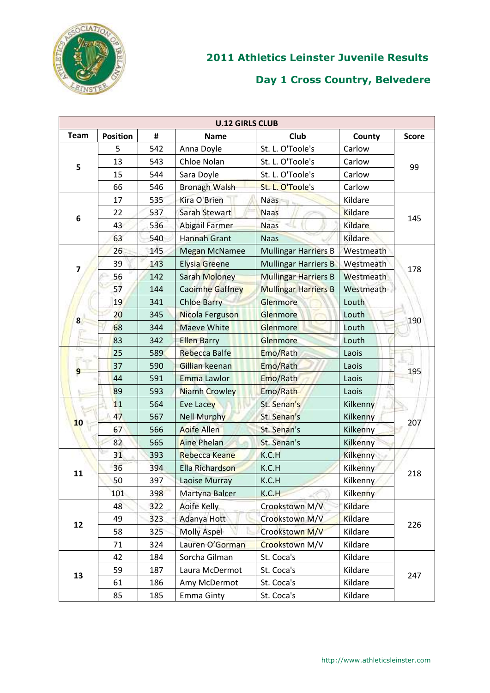

| <b>U.12 GIRLS CLUB</b> |                 |     |                        |                             |                 |              |  |  |
|------------------------|-----------------|-----|------------------------|-----------------------------|-----------------|--------------|--|--|
| <b>Team</b>            | <b>Position</b> | #   | <b>Name</b>            | Club                        | County          | <b>Score</b> |  |  |
|                        | 5               | 542 | Anna Doyle             | St. L. O'Toole's            | Carlow          |              |  |  |
| 5                      | 13              | 543 | Chloe Nolan            | St. L. O'Toole's            | Carlow          | 99           |  |  |
|                        | 15              | 544 | Sara Doyle             | St. L. O'Toole's            | Carlow          |              |  |  |
|                        | 66              | 546 | <b>Bronagh Walsh</b>   | St. L. O'Toole's            | Carlow          |              |  |  |
|                        | 17              | 535 | Kira O'Brien           | <b>Naas</b>                 | Kildare         |              |  |  |
| 6                      | 22              | 537 | Sarah Stewart          | <b>Naas</b>                 | Kildare         | 145          |  |  |
|                        | 43              | 536 | <b>Abigail Farmer</b>  | <b>Naas</b>                 | Kildare         |              |  |  |
|                        | 63              | 540 | <b>Hannah Grant</b>    | <b>Naas</b>                 | Kildare         |              |  |  |
|                        | 26              | 145 | <b>Megan McNamee</b>   | <b>Mullingar Harriers B</b> | Westmeath       |              |  |  |
| 7                      | 39              | 143 | <b>Elysia Greene</b>   | <b>Mullingar Harriers B</b> | Westmeath       | 178          |  |  |
|                        | 56              | 142 | Sarah Moloney          | <b>Mullingar Harriers B</b> | Westmeath       |              |  |  |
|                        | 57              | 144 | <b>Caoimhe Gaffney</b> | <b>Mullingar Harriers B</b> | Westmeath       |              |  |  |
|                        | 19              | 341 | <b>Chloe Barry</b>     | Glenmore                    | Louth           |              |  |  |
| $\bf{8}$               | 20              | 345 | Nicola Ferguson        | Glenmore                    | Louth           | 190          |  |  |
|                        | 68              | 344 | <b>Maeve White</b>     | Glenmore                    | Louth           |              |  |  |
|                        | 83              | 342 | <b>Ellen Barry</b>     | <b>Glenmore</b>             | Louth           |              |  |  |
| n,                     | 25              | 589 | <b>Rebecca Balfe</b>   | Emo/Rath                    | Laois           |              |  |  |
| 9                      | 37              | 590 | Gillian keenan         | Emo/Rath                    | Laois           | 195          |  |  |
|                        | 44              | 591 | <b>Emma Lawlor</b>     | Emo/Rath                    | Laois           |              |  |  |
|                        | 89              | 593 | <b>Niamh Crowley</b>   | Emo/Rath                    | Laois           |              |  |  |
|                        | 11              | 564 | Eve Lacey              | St. Senan's                 | Kilkenny        |              |  |  |
| 10                     | 47              | 567 | <b>Nell Murphy</b>     | St. Senan's                 | Kilkenny        |              |  |  |
|                        | 67              | 566 | <b>Aoife Allen</b>     | St. Senan's                 | Kilkenny        | 207          |  |  |
|                        | 82              | 565 | <b>Aine Phelan</b>     | St. Senan's                 | Kilkenny        |              |  |  |
|                        | 31              | 393 | <b>Rebecca Keane</b>   | K.C.H                       | Kilkenny        |              |  |  |
| 11                     | 36              | 394 | <b>Ella Richardson</b> | K.C.H                       | <b>Kilkenny</b> | 218          |  |  |
|                        | 50              | 397 | Laoise Murray          | K.C.H                       | Kilkenny        |              |  |  |
|                        | 101             | 398 | Martyna Balcer         | K.C.H                       | Kilkenny        |              |  |  |
|                        | 48              | 322 | <b>Aoife Kelly</b>     | Crookstown M/V              | Kildare         |              |  |  |
| 12                     | 49              | 323 | Adanya Hott            | Crookstown M/V              | <b>Kildare</b>  | 226          |  |  |
|                        | 58              | 325 | <b>Molly Aspel</b>     | Crookstown M/V              | Kildare         |              |  |  |
|                        | 71              | 324 | Lauren O'Gorman        | Crookstown M/V              | Kildare         |              |  |  |
|                        | 42              | 184 | Sorcha Gilman          | St. Coca's                  | Kildare         |              |  |  |
| 13                     | 59              | 187 | Laura McDermot         | St. Coca's                  | Kildare         | 247          |  |  |
|                        | 61              | 186 | Amy McDermot           | St. Coca's                  | Kildare         |              |  |  |
|                        | 85              | 185 | <b>Emma Ginty</b>      | St. Coca's                  | Kildare         |              |  |  |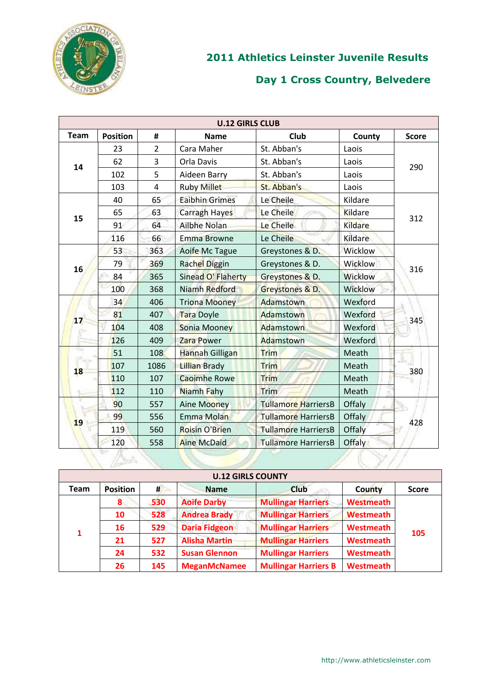

| <b>U.12 GIRLS CLUB</b> |                 |                |                       |                            |               |              |  |  |
|------------------------|-----------------|----------------|-----------------------|----------------------------|---------------|--------------|--|--|
| <b>Team</b>            | <b>Position</b> | #              | <b>Name</b>           | Club                       | County        | <b>Score</b> |  |  |
|                        | 23              | $\overline{2}$ | Cara Maher            | St. Abban's                | Laois         |              |  |  |
| 14                     | 62              | 3              | Orla Davis            | St. Abban's                | Laois         | 290          |  |  |
|                        | 102             | 5              | Aideen Barry          | St. Abban's                | Laois         |              |  |  |
|                        | 103             | 4              | <b>Ruby Millet</b>    | St. Abban's                | Laois         |              |  |  |
|                        | 40              | 65             | <b>Eaibhin Grimes</b> | Le Cheile                  | Kildare       |              |  |  |
| 15                     | 65              | 63             | Carragh Hayes         | Le Cheile                  | Kildare       | 312          |  |  |
|                        | 91              | 64             | Ailbhe Nolan          | Le Cheile                  | Kildare       |              |  |  |
|                        | 116             | 66             | <b>Emma Browne</b>    | Le Cheile                  | Kildare       |              |  |  |
| 16                     | 53              | 363            | Aoife Mc Tague        | Greystones & D.            | Wicklow       |              |  |  |
|                        | 79              | 369            | <b>Rachel Diggin</b>  | Greystones & D.            | Wicklow       | 316          |  |  |
|                        | 84              | 365            | Sinead O' Flaherty    | Greystones & D.            | Wicklow       |              |  |  |
|                        | 100             | 368            | Niamh Redford         | Greystones & D.            | Wicklow       |              |  |  |
|                        | 34              | 406            | <b>Triona Mooney</b>  | Adamstown                  | Wexford       | 345          |  |  |
| 17                     | 81              | 407            | <b>Tara Doyle</b>     | Adamstown                  | Wexford       |              |  |  |
|                        | 104             | 408            | <b>Sonia Mooney</b>   | Adamstown                  | Wexford       |              |  |  |
|                        | 126             | 409            | Zara Power            | Adamstown                  | Wexford       |              |  |  |
| г <u>ъ</u>             | 51              | 108            | Hannah Gilligan       | Trim                       | Meath         |              |  |  |
| 18                     | 107             | 1086           | <b>Lillian Brady</b>  | Trim                       | Meath         | 380          |  |  |
|                        | 110             | 107            | <b>Caoimhe Rowe</b>   | Trim                       | Meath         |              |  |  |
|                        | 112             | 110            | Niamh Fahy            | Trim                       | Meath         |              |  |  |
|                        | 90              | 557            | <b>Aine Mooney</b>    | <b>Tullamore HarriersB</b> | Offaly        |              |  |  |
| 19                     | 99              | 556            | Emma Molan            | <b>Tullamore HarriersB</b> | Offaly        | 428          |  |  |
|                        | 119             | 560            | Roisin O'Brien        | <b>Tullamore HarriersB</b> | Offaly        |              |  |  |
|                        | 120             | 558            | <b>Aine McDaid</b>    | <b>Tullamore HarriersB</b> | <b>Offaly</b> |              |  |  |
|                        |                 |                |                       |                            |               |              |  |  |

| <b>U.12 GIRLS COUNTY</b> |                 |     |                      |                             |                  |              |  |  |
|--------------------------|-----------------|-----|----------------------|-----------------------------|------------------|--------------|--|--|
| <b>Team</b>              | <b>Position</b> | #   | <b>Name</b>          | <b>Club</b>                 | <b>County</b>    | <b>Score</b> |  |  |
|                          | 8.              | 530 | <b>Aoife Darby</b>   | <b>Mullingar Harriers</b>   | <b>Westmeath</b> | 105          |  |  |
|                          | 10              | 528 | <b>Andrea Brady</b>  | <b>Mullingar Harriers</b>   | <b>Westmeath</b> |              |  |  |
| 1                        | 16              | 529 | <b>Daria Fidgeon</b> | <b>Mullingar Harriers</b>   | <b>Westmeath</b> |              |  |  |
|                          | 21              | 527 | <b>Alisha Martin</b> | <b>Mullingar Harriers</b>   | <b>Westmeath</b> |              |  |  |
|                          | 24              | 532 | <b>Susan Glennon</b> | <b>Mullingar Harriers</b>   | <b>Westmeath</b> |              |  |  |
|                          | 26              | 145 | <b>MeganMcNamee</b>  | <b>Mullingar Harriers B</b> | <b>Westmeath</b> |              |  |  |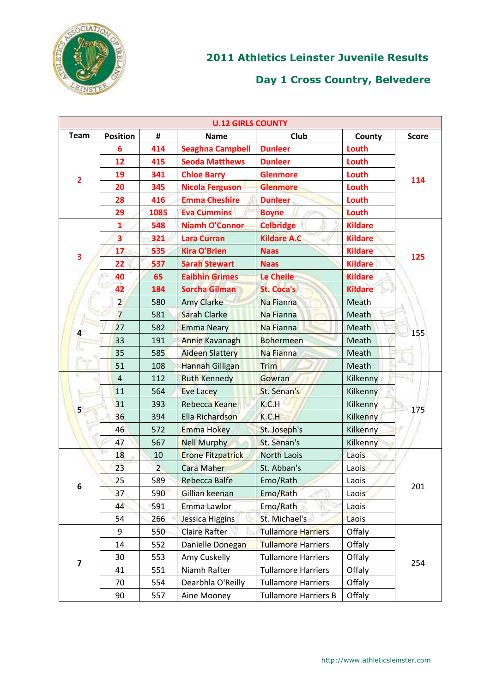

| <b>U.12 GIRLS COUNTY</b> |                         |                |                          |                             |                 |              |  |  |
|--------------------------|-------------------------|----------------|--------------------------|-----------------------------|-----------------|--------------|--|--|
| <b>Team</b>              | <b>Position</b>         | #              | <b>Name</b>              | Club                        | County          | <b>Score</b> |  |  |
|                          | 6                       | 414            | <b>Seaghna Campbell</b>  | <b>Dunleer</b>              | Louth           |              |  |  |
|                          | 12                      | 415            | <b>Seoda Matthews</b>    | <b>Dunleer</b>              | Louth           |              |  |  |
| $\overline{\mathbf{2}}$  | 19                      | 341            | <b>Chloe Barry</b>       | <b>Glenmore</b>             | Louth           | 114          |  |  |
|                          | 20                      | 345            | <b>Nicola Ferguson</b>   | <b>Glenmore</b>             | Louth           |              |  |  |
|                          | 28                      | 416            | <b>Emma Cheshire</b>     | <b>Dunleer</b>              | Louth           |              |  |  |
|                          | 29                      | 1085           | <b>Eva Cummins</b>       | <b>Boyne</b>                | Louth           |              |  |  |
|                          | $\mathbf{1}$            | 548            | <b>Niamh O'Connor</b>    | <b>Celbridge</b>            | <b>Kildare</b>  |              |  |  |
|                          | $\overline{\mathbf{3}}$ | 321            | <b>Lara Curran</b>       | <b>Kildare A.C</b>          | <b>Kildare</b>  |              |  |  |
| 3                        | 17                      | 535            | <b>Kira O'Brien</b>      | <b>Naas</b>                 | <b>Kildare</b>  | 125          |  |  |
|                          | 22                      | 537            | <b>Sarah Stewart</b>     | <b>Naas</b>                 | <b>Kildare</b>  |              |  |  |
|                          | 40                      | 65             | <b>Eaibhin Grimes</b>    | <b>Le Cheile</b>            | <b>Kildare</b>  |              |  |  |
|                          | 42                      | 184            | <b>Sorcha Gilman</b>     | <b>St. Coca's</b>           | <b>Kildare</b>  |              |  |  |
|                          | $\overline{2}$          | 580            | <b>Amy Clarke</b>        | Na Fianna                   | Meath           |              |  |  |
| 4                        | $\overline{7}$          | 581            | Sarah Clarke             | Na Fianna                   | Meath           |              |  |  |
|                          | 27                      | 582            | <b>Emma Neary</b>        | Na Fianna                   | Meath           | 155          |  |  |
|                          | 33                      | 191            | <b>Annie Kavanagh</b>    | <b>Bohermeen</b>            | Meath           |              |  |  |
|                          | 35                      | 585            | <b>Aideen Slattery</b>   | Na Fianna                   | Meath           | Ŀ,           |  |  |
|                          | 51                      | 108            | <b>Hannah Gilligan</b>   | Trim                        | Meath           |              |  |  |
|                          | $\overline{4}$          | 112            | <b>Ruth Kennedy</b>      | Gowran                      | Kilkenny        |              |  |  |
|                          | 11                      | 564            | Eve Lacey                | St. Senan's                 | Kilkenny        |              |  |  |
| 5                        | 31                      | 393            | Rebecca Keane            | K.C.H                       | Kilkenny        | 175          |  |  |
|                          | 36                      | 394            | Ella Richardson          | K.C.H                       | Kilkenny        |              |  |  |
|                          | 46                      | 572            | <b>Emma Hokey</b>        | St. Joseph's                | <b>Kilkenny</b> |              |  |  |
|                          | 47                      | 567            | <b>Nell Murphy</b>       | St. Senan's                 | Kilkenny        |              |  |  |
|                          | 18                      | 10             | <b>Erone Fitzpatrick</b> | <b>North Laois</b>          | Laois           |              |  |  |
|                          | 23                      | $\overline{2}$ | <b>Cara Maher</b>        | St. Abban's                 | Laois           |              |  |  |
| 6                        | 25                      | 589            | <b>Rebecca Balfe</b>     | Emo/Rath                    | Laois           | 201          |  |  |
|                          | 37                      | 590            | Gillian keenan           | Emo/Rath                    | Laois           |              |  |  |
|                          | 44                      | 591            | Emma Lawlor              | Emo/Rath                    | Laois           |              |  |  |
|                          | 54                      | 266            | Jessica Higgins          | St. Michael's               | Laois           |              |  |  |
|                          | 9                       | 550            | <b>Claire Rafter</b>     | <b>Tullamore Harriers</b>   | Offaly          |              |  |  |
|                          | 14                      | 552            | Danielle Donegan         | <b>Tullamore Harriers</b>   | Offaly          |              |  |  |
| 7                        | 30                      | 553            | Amy Cuskelly             | <b>Tullamore Harriers</b>   | Offaly          | 254          |  |  |
|                          | 41                      | 551            | Niamh Rafter             | <b>Tullamore Harriers</b>   | Offaly          |              |  |  |
|                          | 70                      | 554            | Dearbhla O'Reilly        | <b>Tullamore Harriers</b>   | Offaly          |              |  |  |
|                          | 90                      | 557            | Aine Mooney              | <b>Tullamore Harriers B</b> | Offaly          |              |  |  |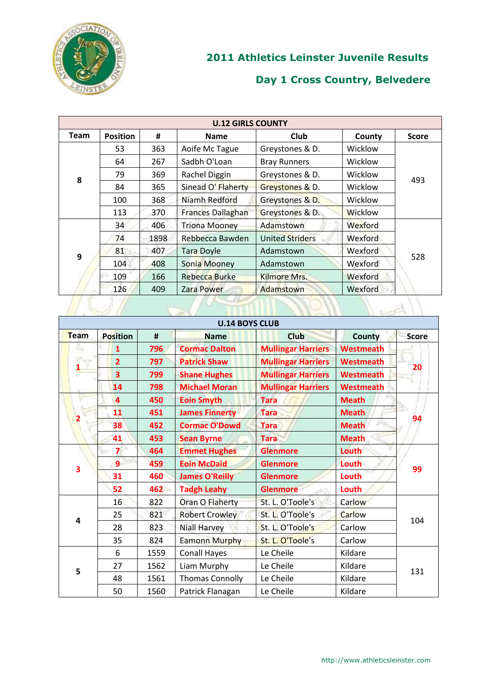

| <b>U.12 GIRLS COUNTY</b> |                 |      |                          |                        |                |              |  |  |
|--------------------------|-----------------|------|--------------------------|------------------------|----------------|--------------|--|--|
| Team                     | <b>Position</b> | #    | <b>Name</b>              | <b>Club</b>            | County         | <b>Score</b> |  |  |
|                          | 53              | 363  | Aoife Mc Tague           | Greystones & D.        | Wicklow        |              |  |  |
|                          | 64              | 267  | Sadbh O'Loan             | <b>Bray Runners</b>    | Wicklow        |              |  |  |
| 8                        | 79              | 369  | Rachel Diggin            | Greystones & D.        | Wicklow        | 493          |  |  |
|                          | 84              | 365  | Sinead O' Flaherty       | Greystones & D.        | Wicklow        |              |  |  |
|                          | 100             | 368  | Niamh Redford            | Greystones & D.        | Wicklow        |              |  |  |
|                          | 113             | 370  | <b>Frances Dallaghan</b> | Greystones & D.        | <b>Wicklow</b> |              |  |  |
|                          | 34              | 406  | <b>Triona Mooney</b>     | Adamstown              | Wexford        |              |  |  |
|                          | 74              | 1898 | Rebbecca Bawden          | <b>United Striders</b> | Wexford        |              |  |  |
| 9                        | 81              | 407  | <b>Tara Doyle</b>        | Adamstown              | Wexford        | 528          |  |  |
|                          | 104             | 408  | Sonia Mooney             | Adamstown              | Wexford        |              |  |  |
|                          | 109             | 166  | <b>Rebecca Burke</b>     | Kilmore Mrs.           | Wexford        |              |  |  |
|                          | 126             | 409  | Zara Power               | Adamstown              | Wexford        |              |  |  |
|                          |                 |      |                          |                        |                |              |  |  |

| <b>U.14 BOYS CLUB</b> |                         |      |                        |                           |                  |              |  |  |
|-----------------------|-------------------------|------|------------------------|---------------------------|------------------|--------------|--|--|
| Team                  | <b>Position</b>         | #    | <b>Name</b>            | <b>Club</b>               | <b>County</b>    | <b>Score</b> |  |  |
| IU.                   | $\mathbf{1}$            | 796  | <b>Cormac Dalton</b>   | <b>Mullingar Harriers</b> | <b>Westmeath</b> |              |  |  |
|                       | $\overline{2}$          | 797  | <b>Patrick Shaw</b>    | <b>Mullingar Harriers</b> | <b>Westmeath</b> |              |  |  |
|                       | $\overline{\mathbf{3}}$ | 799  | <b>Shane Hughes</b>    | <b>Mullingar Harriers</b> | <b>Westmeath</b> | 20           |  |  |
|                       | 14                      | 798  | <b>Michael Moran</b>   | <b>Mullingar Harriers</b> | <b>Westmeath</b> |              |  |  |
|                       | 4                       | 450  | <b>Eoin Smyth</b>      | <b>Tara</b>               | <b>Meath</b>     |              |  |  |
|                       | 11                      | 451  | <b>James Finnerty</b>  | <b>Tara</b>               | <b>Meath</b>     |              |  |  |
|                       | 38                      | 452  | <b>Cormac O'Dowd</b>   | <b>Tara</b>               | <b>Meath</b>     | 94           |  |  |
|                       | 41                      | 453  | <b>Sean Byrne</b>      | <b>Tara</b>               | <b>Meath</b>     |              |  |  |
|                       | $\overline{\mathbf{z}}$ | 464  | <b>Emmet Hughes</b>    | <b>Glenmore</b>           | Louth            | 99           |  |  |
| 3                     | $\overline{9}$          | 459  | <b>Eoin McDaid</b>     | <b>Glenmore</b>           | Louth            |              |  |  |
|                       | 31                      | 460  | <b>James O'Reilly</b>  | <b>Glenmore</b>           | Louth            |              |  |  |
|                       | 52                      | 462  | <b>Tadgh Leahy</b>     | <b>Glenmore</b>           | Louth            |              |  |  |
|                       | 16                      | 822  | Oran O Flaherty        | St. L. O'Toole's          | Carlow           |              |  |  |
| 4                     | 25                      | 821  | <b>Robert Crowley</b>  | St. L. O'Toole's          | Carlow           | 104          |  |  |
|                       | 28                      | 823  | <b>Niall Harvey</b>    | St. L. O'Toole's          | Carlow           |              |  |  |
|                       | 35                      | 824  | <b>Eamonn Murphy</b>   | St. L. O'Toole's          | Carlow           |              |  |  |
|                       | 6                       | 1559 | <b>Conall Hayes</b>    | Le Cheile                 | Kildare          |              |  |  |
| 5                     | 27                      | 1562 | Liam Murphy            | Le Cheile                 | Kildare          |              |  |  |
|                       | 48                      | 1561 | <b>Thomas Connolly</b> | Le Cheile                 | Kildare          | 131          |  |  |
|                       | 50                      | 1560 | Patrick Flanagan       | Le Cheile                 | Kildare          |              |  |  |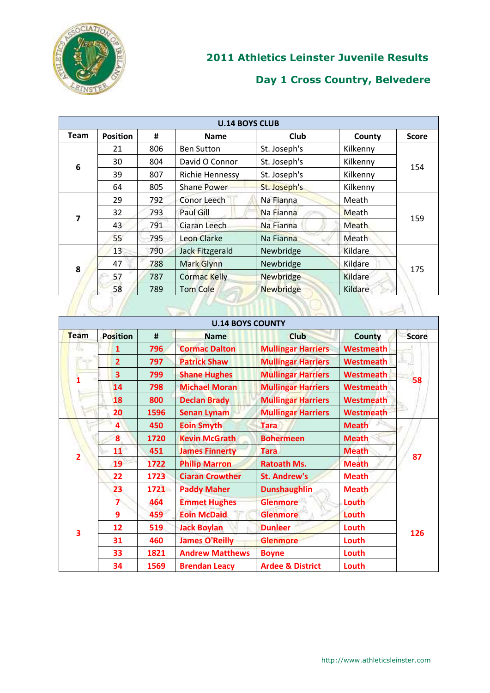

| <b>U.14 BOYS CLUB</b> |                 |     |                     |                  |              |              |  |  |
|-----------------------|-----------------|-----|---------------------|------------------|--------------|--------------|--|--|
| <b>Team</b>           | <b>Position</b> | #   | <b>Name</b>         | Club             | County       | <b>Score</b> |  |  |
|                       | 21              | 806 | <b>Ben Sutton</b>   | St. Joseph's     | Kilkenny     |              |  |  |
| 6                     | 30              | 804 | David O Connor      | St. Joseph's     | Kilkenny     | 154          |  |  |
|                       | 39              | 807 | Richie Hennessy     | St. Joseph's     | Kilkenny     |              |  |  |
|                       | 64              | 805 | <b>Shane Power</b>  | St. Joseph's     | Kilkenny     |              |  |  |
|                       | 29              | 792 | Conor Leech         | Na Fianna        | Meath        | 159          |  |  |
|                       | 32              | 793 | Paul Gill           | Na Fianna        | Meath        |              |  |  |
| 7                     | 43              | 791 | Ciaran Leech        | Na Fianna        | <b>Meath</b> |              |  |  |
|                       | 55              | 795 | Leon Clarke         | Na Fianna        | Meath        |              |  |  |
|                       | 13              | 790 | Jack Fitzgerald     | Newbridge        | Kildare      |              |  |  |
| 8                     | 47              | 788 | Mark Glynn          | Newbridge        | Kildare      | 175          |  |  |
|                       | 57              | 787 | <b>Cormac Kelly</b> | Newbridge        | Kildare      |              |  |  |
|                       | 58              | 789 | <b>Tom Cole</b>     | <b>Newbridge</b> | Kildare      |              |  |  |
|                       |                 |     |                     |                  |              |              |  |  |

| <b>U.14 BOYS COUNTY</b> |                         |      |                        |                             |                  |              |  |  |
|-------------------------|-------------------------|------|------------------------|-----------------------------|------------------|--------------|--|--|
| Team                    | <b>Position</b>         | #    | <b>Name</b>            | <b>Club</b>                 | County           | <b>Score</b> |  |  |
|                         | 1                       | 796  | <b>Cormac Dalton</b>   | <b>Mullingar Harriers</b>   | Westmeath        |              |  |  |
|                         | $\overline{2}$          | 797  | <b>Patrick Shaw</b>    | <b>Mullingar Harriers</b>   | <b>Westmeath</b> |              |  |  |
|                         | 3                       | 799  | <b>Shane Hughes</b>    | <b>Mullingar Harriers</b>   | Westmeath        | 58           |  |  |
|                         | 14                      | 798  | <b>Michael Moran</b>   | <b>Mullingar Harriers</b>   | Westmeath        |              |  |  |
|                         | 18                      | 800  | <b>Declan Brady</b>    | <b>Mullingar Harriers</b>   | Westmeath        |              |  |  |
|                         | 20                      | 1596 | <b>Senan Lynam</b>     | <b>Mullingar Harriers</b>   | Westmeath        |              |  |  |
|                         | 4                       | 450  | <b>Eoin Smyth</b>      | <b>Tara</b>                 | <b>Meath</b>     |              |  |  |
|                         | 8                       | 1720 | <b>Kevin McGrath</b>   | <b>Bohermeen</b>            | <b>Meath</b>     |              |  |  |
| $\overline{2}$          | 11                      | 451  | <b>James Finnerty</b>  | <b>Tara</b>                 | <b>Meath</b>     | 87           |  |  |
|                         | 19                      | 1722 | <b>Philip Marron</b>   | <b>Ratoath Ms.</b>          | <b>Meath</b>     |              |  |  |
|                         | 22                      | 1723 | <b>Ciaran Crowther</b> | <b>St. Andrew's</b>         | <b>Meath</b>     |              |  |  |
|                         | 23                      | 1721 | <b>Paddy Maher</b>     | <b>Dunshaughlin</b>         | <b>Meath</b>     |              |  |  |
|                         | $\overline{\mathbf{z}}$ | 464  | <b>Emmet Hughes</b>    | <b>Glenmore</b>             | Louth            |              |  |  |
|                         | 9                       | 459  | <b>Eoin McDaid</b>     | <b>Glenmore</b>             | Louth            |              |  |  |
| 3                       | 12                      | 519  | <b>Jack Boylan</b>     | <b>Dunleer</b>              | Louth            | 126          |  |  |
|                         | 31                      | 460  | <b>James O'Reilly</b>  | <b>Glenmore</b>             | Louth            |              |  |  |
|                         | 33                      | 1821 | <b>Andrew Matthews</b> | <b>Boyne</b>                | Louth            |              |  |  |
|                         | 34                      | 1569 | <b>Brendan Leacy</b>   | <b>Ardee &amp; District</b> | Louth            |              |  |  |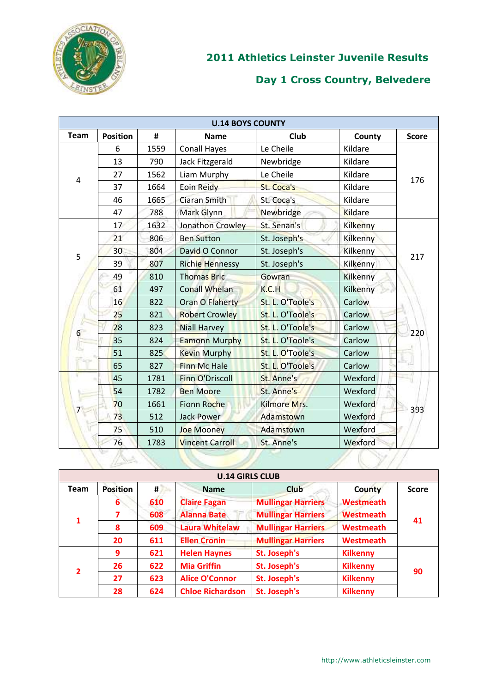

|             | <b>U.14 BOYS COUNTY</b> |      |                        |                  |          |              |  |  |  |
|-------------|-------------------------|------|------------------------|------------------|----------|--------------|--|--|--|
| <b>Team</b> | <b>Position</b>         | #    | <b>Name</b>            | Club             | County   | <b>Score</b> |  |  |  |
|             | 6                       | 1559 | <b>Conall Hayes</b>    | Le Cheile        | Kildare  |              |  |  |  |
|             | 13                      | 790  | Jack Fitzgerald        | Newbridge        | Kildare  |              |  |  |  |
| 4           | 27                      | 1562 | Liam Murphy            | Le Cheile        | Kildare  | 176          |  |  |  |
|             | 37                      | 1664 | Eoin Reidy             | St. Coca's       | Kildare  |              |  |  |  |
|             | 46                      | 1665 | <b>Ciaran Smith</b>    | St. Coca's       | Kildare  |              |  |  |  |
|             | 47                      | 788  | Mark Glynn             | Newbridge        | Kildare  |              |  |  |  |
|             | 17                      | 1632 | Jonathon Crowley       | St. Senan's      | Kilkenny |              |  |  |  |
|             | 21                      | 806  | <b>Ben Sutton</b>      | St. Joseph's     | Kilkenny |              |  |  |  |
| 5           | 30                      | 804  | David O Connor         | St. Joseph's     | Kilkenny | 217          |  |  |  |
|             | 39                      | 807  | <b>Richie Hennessy</b> | St. Joseph's     | Kilkenny |              |  |  |  |
|             | 49                      | 810  | <b>Thomas Bric</b>     | Gowran           | Kilkenny |              |  |  |  |
|             | 61                      | 497  | <b>Conall Whelan</b>   | K.C.H            | Kilkenny |              |  |  |  |
|             | 16                      | 822  | Oran O Flaherty        | St. L. O'Toole's | Carlow   | 220          |  |  |  |
|             | 25                      | 821  | <b>Robert Crowley</b>  | St. L. O'Toole's | Carlow   |              |  |  |  |
| 6           | 28                      | 823  | <b>Niall Harvey</b>    | St. L. O'Toole's | Carlow   |              |  |  |  |
|             | 35                      | 824  | <b>Eamonn Murphy</b>   | St. L. O'Toole's | Carlow   |              |  |  |  |
|             | 51                      | 825  | <b>Kevin Murphy</b>    | St. L. O'Toole's | Carlow   |              |  |  |  |
|             | 65                      | 827  | <b>Finn Mc Hale</b>    | St. L. O'Toole's | Carlow   |              |  |  |  |
|             | 45                      | 1781 | <b>Finn O'Driscoll</b> | St. Anne's       | Wexford  |              |  |  |  |
|             | 54                      | 1782 | <b>Ben Moore</b>       | St. Anne's       | Wexford  |              |  |  |  |
|             | 70                      | 1661 | <b>Fionn Roche</b>     | Kilmore Mrs.     | Wexford  | 393          |  |  |  |
|             | 73                      | 512  | <b>Jack Power</b>      | Adamstown        | Wexford  |              |  |  |  |
|             | 75                      | 510  | <b>Joe Mooney</b>      | Adamstown        | Wexford  |              |  |  |  |
|             | 76                      | 1783 | <b>Vincent Carroll</b> | St. Anne's       | Wexford  |              |  |  |  |
|             |                         |      |                        |                  |          |              |  |  |  |

|                | <b>U.14 GIRLS CLUB</b> |     |                         |                           |                  |              |  |  |  |
|----------------|------------------------|-----|-------------------------|---------------------------|------------------|--------------|--|--|--|
| <b>Team</b>    | <b>Position</b>        | #   | <b>Name</b>             | <b>Club</b>               | County           | <b>Score</b> |  |  |  |
|                | 6                      | 610 | <b>Claire Fagan</b>     | <b>Mullingar Harriers</b> | <b>Westmeath</b> |              |  |  |  |
|                |                        | 608 | <b>Alanna Bate</b>      | <b>Mullingar Harriers</b> | <b>Westmeath</b> | 41           |  |  |  |
|                | 8                      | 609 | <b>Laura Whitelaw</b>   | <b>Mullingar Harriers</b> | Westmeath        |              |  |  |  |
|                | 20                     | 611 | <b>Ellen Cronin</b>     | <b>Mullingar Harriers</b> | <b>Westmeath</b> |              |  |  |  |
|                | 9                      | 621 | <b>Helen Haynes</b>     | St. Joseph's              | <b>Kilkenny</b>  | 90           |  |  |  |
| $\overline{2}$ | 26                     | 622 | <b>Mia Griffin</b>      | St. Joseph's              | <b>Kilkenny</b>  |              |  |  |  |
|                | 27                     | 623 | <b>Alice O'Connor</b>   | St. Joseph's              | <b>Kilkenny</b>  |              |  |  |  |
|                | 28                     | 624 | <b>Chloe Richardson</b> | St. Joseph's              | <b>Kilkenny</b>  |              |  |  |  |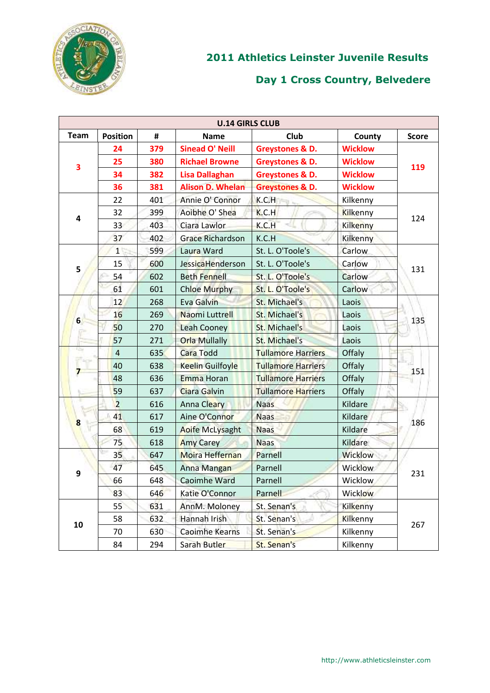

|             | <b>U.14 GIRLS CLUB</b> |     |                         |                            |                 |              |  |  |
|-------------|------------------------|-----|-------------------------|----------------------------|-----------------|--------------|--|--|
| <b>Team</b> | <b>Position</b>        | #   | <b>Name</b>             | Club                       | County          | <b>Score</b> |  |  |
|             | 24                     | 379 | <b>Sinead O' Neill</b>  | Greystones & D.            | <b>Wicklow</b>  |              |  |  |
| 3           | 25                     | 380 | <b>Richael Browne</b>   | <b>Greystones &amp; D.</b> | <b>Wicklow</b>  | 119          |  |  |
|             | 34                     | 382 | <b>Lisa Dallaghan</b>   | Greystones & D.            | <b>Wicklow</b>  |              |  |  |
|             | 36                     | 381 | <b>Alison D. Whelan</b> | <b>Greystones &amp; D.</b> | <b>Wicklow</b>  |              |  |  |
|             | 22                     | 401 | Annie O' Connor         | K.C.H                      | Kilkenny        |              |  |  |
| 4           | 32                     | 399 | Aoibhe O' Shea          | K.C.H                      | Kilkenny        | 124          |  |  |
|             | 33                     | 403 | Ciara Lawlor            | K.C.H                      | Kilkenny        |              |  |  |
|             | 37                     | 402 | <b>Grace Richardson</b> | K.C.H                      | Kilkenny        |              |  |  |
|             | 1 <sup>1</sup>         | 599 | Laura Ward              | St. L. O'Toole's           | Carlow          |              |  |  |
| 5           | 15                     | 600 | JessicaHenderson        | St. L. O'Toole's           | Carlow          | 131          |  |  |
|             | 54                     | 602 | <b>Beth Fennell</b>     | St. L. O'Toole's           | Carlow          |              |  |  |
|             | 61                     | 601 | <b>Chloe Murphy</b>     | St. L. O'Toole's           | Carlow          |              |  |  |
|             | 12                     | 268 | Eva Galvin              | St. Michael's              | Laois           |              |  |  |
| $6 \n$      | 16                     | 269 | Naomi Luttrell          | St. Michael's              | Laois           | 135          |  |  |
|             | 50                     | 270 | <b>Leah Cooney</b>      | St. Michael's              | Laois           |              |  |  |
|             | 57                     | 271 | <b>Orla Mullally</b>    | St. Michael's              | Laois           |              |  |  |
| ns          | $\overline{4}$         | 635 | <b>Cara Todd</b>        | <b>Tullamore Harriers</b>  | Offaly          | 151          |  |  |
|             | 40                     | 638 | <b>Keelin Guilfoyle</b> | <b>Tullamore Harriers</b>  | Offaly          |              |  |  |
|             | 48                     | 636 | <b>Emma Horan</b>       | <b>Tullamore Harriers</b>  | Offaly          |              |  |  |
|             | 59                     | 637 | Ciara Galvin            | <b>Tullamore Harriers</b>  | Offaly          |              |  |  |
|             | $\overline{2}$         | 616 | Anna Cleary             | <b>Naas</b>                | Kildare         |              |  |  |
| 8           | 41                     | 617 | Aine O'Connor           | <b>Naas</b>                | Kildare         | 186          |  |  |
|             | 68                     | 619 | <b>Aoife McLysaght</b>  | <b>Naas</b>                | Kildare         |              |  |  |
|             | 75                     | 618 | <b>Amy Carey</b>        | <b>Naas</b>                | Kildare         |              |  |  |
|             | 35 <sub>1</sub>        | 647 | Moira Heffernan         | Parnell                    | <b>Wicklow</b>  |              |  |  |
| 9           | 47                     | 645 | <b>Anna Mangan</b>      | Parnell                    | <b>Wicklow</b>  | 231          |  |  |
|             | 66                     | 648 | <b>Caoimhe Ward</b>     | Parnell                    | Wicklow         |              |  |  |
|             | 83                     | 646 | Katie O'Connor          | Parnell                    | Wicklow         |              |  |  |
|             | 55                     | 631 | AnnM. Moloney           | St. Senan's                | <b>Kilkenny</b> |              |  |  |
| 10          | 58                     | 632 | Hannah Irish            | St. Senan's                | <b>Kilkenny</b> | 267          |  |  |
|             | 70                     | 630 | <b>Caoimhe Kearns</b>   | St. Senan's                | Kilkenny        |              |  |  |
|             | 84                     | 294 | Sarah Butler            | St. Senan's                | Kilkenny        |              |  |  |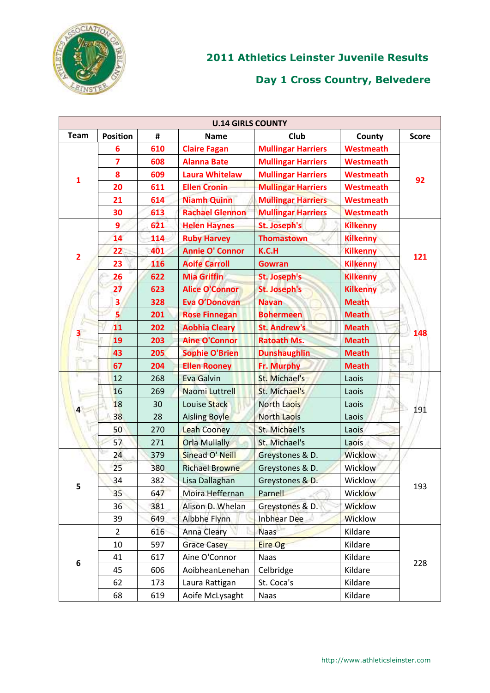

| <b>U.14 GIRLS COUNTY</b>        |                         |     |                        |                           |                  |              |  |
|---------------------------------|-------------------------|-----|------------------------|---------------------------|------------------|--------------|--|
| <b>Team</b>                     | <b>Position</b>         | #   | <b>Name</b>            | Club                      | County           | <b>Score</b> |  |
|                                 | 6                       | 610 | <b>Claire Fagan</b>    | <b>Mullingar Harriers</b> | <b>Westmeath</b> |              |  |
|                                 | $\overline{\mathbf{z}}$ | 608 | <b>Alanna Bate</b>     | <b>Mullingar Harriers</b> | <b>Westmeath</b> |              |  |
| $\mathbf{1}$                    | 8                       | 609 | <b>Laura Whitelaw</b>  | <b>Mullingar Harriers</b> | <b>Westmeath</b> | 92           |  |
|                                 | 20                      | 611 | <b>Ellen Cronin</b>    | <b>Mullingar Harriers</b> | <b>Westmeath</b> |              |  |
|                                 | 21                      | 614 | <b>Niamh Quinn</b>     | <b>Mullingar Harriers</b> | <b>Westmeath</b> |              |  |
|                                 | 30                      | 613 | <b>Rachael Glennon</b> | <b>Mullingar Harriers</b> | <b>Westmeath</b> |              |  |
|                                 | 9                       | 621 | <b>Helen Haynes</b>    | St. Joseph's              | <b>Kilkenny</b>  |              |  |
| $\overline{2}$                  | 14                      | 114 | <b>Ruby Harvey</b>     | <b>Thomastown</b>         | <b>Kilkenny</b>  |              |  |
|                                 | 22                      | 401 | <b>Annie O' Connor</b> | K.C.H                     | <b>Kilkenny</b>  | 121          |  |
|                                 | 23                      | 116 | <b>Aoife Carroll</b>   | <b>Gowran</b>             | <b>Kilkenny</b>  |              |  |
|                                 | 26                      | 622 | <b>Mia Griffin</b>     | St. Joseph's              | <b>Kilkenny</b>  |              |  |
|                                 | 27                      | 623 | <b>Alice O'Connor</b>  | <b>St. Joseph's</b>       | <b>Kilkenny</b>  |              |  |
|                                 | 3                       | 328 | Eva O'Donovan          | <b>Navan</b>              | <b>Meath</b>     |              |  |
|                                 | 5                       | 201 | <b>Rose Finnegan</b>   | <b>Bohermeen</b>          | <b>Meath</b>     |              |  |
| $\overline{\phantom{a}}$<br>404 | 11                      | 202 | <b>Aobhia Cleary</b>   | <b>St. Andrew's</b>       | <b>Meath</b>     | 148          |  |
|                                 | 19                      | 203 | <b>Aine O'Connor</b>   | <b>Ratoath Ms.</b>        | <b>Meath</b>     |              |  |
|                                 | 43                      | 205 | <b>Sophie O'Brien</b>  | <b>Dunshaughlin</b>       | <b>Meath</b>     |              |  |
|                                 | 67                      | 204 | <b>Ellen Rooney</b>    | Fr. Murphy                | <b>Meath</b>     |              |  |
|                                 | 12                      | 268 | <b>Eva Galvin</b>      | St. Michael's             | Laois            | 191          |  |
|                                 | 16                      | 269 | Naomi Luttrell         | St. Michael's             | Laois            |              |  |
| 4                               | 18                      | 30  | Louise Stack           | <b>North Laois</b>        | Laois            |              |  |
|                                 | 38                      | 28  | <b>Aisling Boyle</b>   | <b>North Laois</b>        | Laois            |              |  |
|                                 | 50                      | 270 | <b>Leah Cooney</b>     | St. Michael's             | Laois            |              |  |
|                                 | 57                      | 271 | <b>Orla Mullally</b>   | St. Michael's             | Laois            |              |  |
|                                 | 24                      | 379 | Sinead O' Neill        | Greystones & D.           | Wicklow          |              |  |
|                                 | 25                      | 380 | <b>Richael Browne</b>  | Greystones & D.           | <b>Wicklow</b>   |              |  |
| 5                               | 34                      | 382 | Lisa Dallaghan         | Greystones & D.           | Wicklow          | 193          |  |
|                                 | 35                      | 647 | Moira Heffernan        | Parnell                   | Wicklow          |              |  |
|                                 | 36                      | 381 | Alison D. Whelan       | Greystones & D.           | <b>Wicklow</b>   |              |  |
|                                 | 39                      | 649 | Aibbhe Flynn           | <b>Inbhear Dee</b>        | <b>Wicklow</b>   |              |  |
|                                 | $\overline{2}$          | 616 | <b>Anna Cleary</b>     | <b>Naas</b>               | Kildare          |              |  |
|                                 | $10\,$                  | 597 | <b>Grace Casey</b>     | Eire Og                   | Kildare          |              |  |
| 6                               | 41                      | 617 | Aine O'Connor          | Naas                      | Kildare          | 228          |  |
|                                 | 45                      | 606 | AoibheanLenehan        | Celbridge                 | Kildare          |              |  |
|                                 | 62                      | 173 | Laura Rattigan         | St. Coca's                | Kildare          |              |  |
|                                 | 68                      | 619 | Aoife McLysaght        | Naas                      | Kildare          |              |  |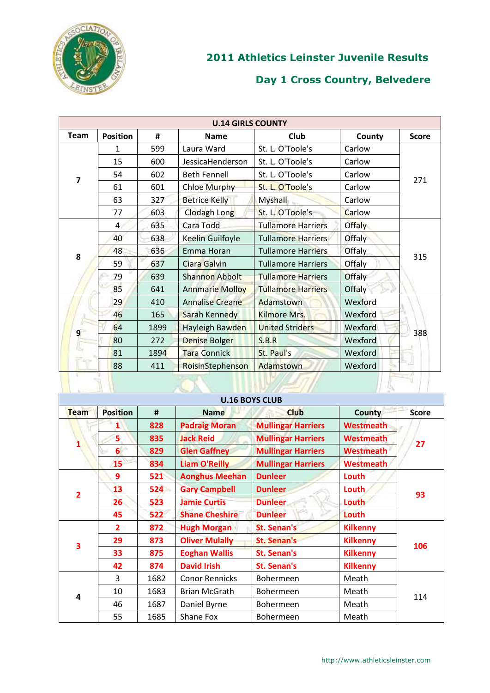

| <b>U.14 GIRLS COUNTY</b> |                 |      |                        |                           |               |              |  |
|--------------------------|-----------------|------|------------------------|---------------------------|---------------|--------------|--|
| <b>Team</b>              | <b>Position</b> | #    | <b>Name</b>            | <b>Club</b>               | County        | <b>Score</b> |  |
|                          | 1               | 599  | Laura Ward             | St. L. O'Toole's          | Carlow        |              |  |
|                          | 15              | 600  | JessicaHenderson       | St. L. O'Toole's          | Carlow        |              |  |
| 7                        | 54              | 602  | <b>Beth Fennell</b>    | St. L. O'Toole's          | Carlow        | 271          |  |
|                          | 61              | 601  | <b>Chloe Murphy</b>    | St. L. O'Toole's          | Carlow        |              |  |
|                          | 63              | 327  | <b>Betrice Kelly</b>   | <b>Myshall</b>            | Carlow        |              |  |
|                          | 77              | 603  | Clodagh Long           | St. L. O'Toole's          | Carlow        |              |  |
|                          | $\overline{4}$  | 635  | Cara Todd              | <b>Tullamore Harriers</b> | <b>Offaly</b> |              |  |
|                          | 40              | 638  | Keelin Guilfoyle       | <b>Tullamore Harriers</b> | Offaly        | 315          |  |
| 8                        | 48              | 636  | Emma Horan             | <b>Tullamore Harriers</b> | Offaly        |              |  |
|                          | 59              | 637  | <b>Ciara Galvin</b>    | <b>Tullamore Harriers</b> | Offaly        |              |  |
|                          | 79              | 639  | <b>Shannon Abbolt</b>  | <b>Tullamore Harriers</b> | <b>Offaly</b> |              |  |
|                          | 85              | 641  | <b>Annmarie Molloy</b> | <b>Tullamore Harriers</b> | Offaly        |              |  |
|                          | 29              | 410  | <b>Annalise Creane</b> | Adamstown                 | Wexford       |              |  |
|                          | 46              | 165  | Sarah Kennedy          | Kilmore Mrs.              | Wexford       |              |  |
| 9 <sup>1</sup>           | 64              | 1899 | Hayleigh Bawden        | <b>United Striders</b>    | Wexford       |              |  |
|                          | 80              | 272  | Denise Bolger          | S.B.R                     | Wexford       | 388          |  |
|                          | 81              | 1894 | <b>Tara Connick</b>    | St. Paul's                | Wexford       |              |  |
|                          | 88              | 411  | RoisinStephenson       | Adamstown                 | Wexford       |              |  |
|                          |                 |      |                        |                           |               |              |  |

|             | <b>U.16 BOYS CLUB</b> |      |                       |                           |                  |              |  |  |
|-------------|-----------------------|------|-----------------------|---------------------------|------------------|--------------|--|--|
| <b>Team</b> | <b>Position</b>       | #    | <b>Name</b>           | <b>Club</b>               | County           | <b>Score</b> |  |  |
|             |                       | 828  | <b>Padraig Moran</b>  | <b>Mullingar Harriers</b> | <b>Westmeath</b> |              |  |  |
| 1           | 5                     | 835  | <b>Jack Reid</b>      | <b>Mullingar Harriers</b> | <b>Westmeath</b> | 27           |  |  |
|             | 6 <sup>1</sup>        | 829  | <b>Glen Gaffney</b>   | <b>Mullingar Harriers</b> | <b>Westmeath</b> |              |  |  |
|             | 15                    | 834  | <b>Liam O'Reilly</b>  | <b>Mullingar Harriers</b> | <b>Westmeath</b> |              |  |  |
|             | 9                     | 521  | <b>Aonghus Meehan</b> | <b>Dunleer</b>            | Louth            |              |  |  |
| 2           | 13                    | 524  | <b>Gary Campbell</b>  | <b>Dunleer</b>            | Louth            | 93           |  |  |
|             | 26 <sub>2</sub>       | 523  | <b>Jamie Curtis</b>   | <b>Dunleer</b>            | Louth            |              |  |  |
|             | 45                    | 522  | <b>Shane Cheshire</b> | <b>Dunleer</b>            | Louth            |              |  |  |
|             | $\overline{2}$        | 872  | <b>Hugh Morgan</b>    | <b>St. Senan's</b>        | <b>Kilkenny</b>  |              |  |  |
| 3           | 29                    | 873  | <b>Oliver Mulally</b> | <b>St. Senan's</b>        | <b>Kilkenny</b>  | 106          |  |  |
|             | 33                    | 875  | <b>Eoghan Wallis</b>  | <b>St. Senan's</b>        | <b>Kilkenny</b>  |              |  |  |
|             | 42                    | 874  | <b>David Irish</b>    | <b>St. Senan's</b>        | <b>Kilkenny</b>  |              |  |  |
|             | 3                     | 1682 | <b>Conor Rennicks</b> | Bohermeen                 | Meath            |              |  |  |
| 4           | 10                    | 1683 | <b>Brian McGrath</b>  | <b>Bohermeen</b>          | Meath            | 114          |  |  |
|             | 46                    | 1687 | Daniel Byrne          | <b>Bohermeen</b>          | Meath            |              |  |  |
|             | 55                    | 1685 | Shane Fox             | <b>Bohermeen</b>          | Meath            |              |  |  |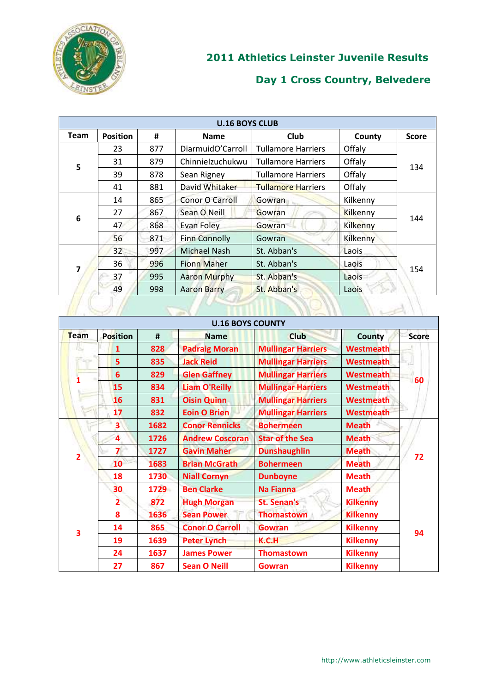

|             |                 |     | <b>U.16 BOYS CLUB</b>  |                           |          |              |
|-------------|-----------------|-----|------------------------|---------------------------|----------|--------------|
| <b>Team</b> | <b>Position</b> | #   | <b>Name</b>            | <b>Club</b>               | County   | <b>Score</b> |
|             | 23              | 877 | DiarmuidO'Carroll      | <b>Tullamore Harriers</b> | Offaly   |              |
| 5           | 31              | 879 | Chinnielzuchukwu       | <b>Tullamore Harriers</b> | Offaly   | 134          |
|             | 39              | 878 | Sean Rigney            | <b>Tullamore Harriers</b> | Offaly   |              |
|             | 41              | 881 | David Whitaker         | <b>Tullamore Harriers</b> | Offaly   |              |
|             | 14              | 865 | <b>Conor O Carroll</b> | <b>Gowran</b>             | Kilkenny | 144          |
| 6           | 27              | 867 | Sean O Neill           | Gowran                    | Kilkenny |              |
|             | 47              | 868 | Evan Foley             | Gowran                    | Kilkenny |              |
|             | 56              | 871 | <b>Finn Connolly</b>   | Gowran                    | Kilkenny |              |
|             | 32              | 997 | <b>Michael Nash</b>    | St. Abban's               | Laois    | 154          |
|             | 36              | 996 | <b>Fionn Maher</b>     | St. Abban's               | Laois    |              |
|             | 37              | 995 | <b>Aaron Murphy</b>    | St. Abban's               | Laois    |              |
|             | 49              | 998 | <b>Aaron Barry</b>     | St. Abban's               | Laois    |              |

|              |                         |      | <b>U.16 BOYS COUNTY</b> |                           |                  |              |
|--------------|-------------------------|------|-------------------------|---------------------------|------------------|--------------|
| Team         | <b>Position</b>         | #    | <b>Name</b>             | <b>Club</b>               | <b>County</b>    | <b>Score</b> |
| 153          | 1                       | 828  | <b>Padraig Moran</b>    | <b>Mullingar Harriers</b> | <b>Westmeath</b> |              |
| <b>Carso</b> | 5                       | 835  | <b>Jack Reid</b>        | <b>Mullingar Harriers</b> | <b>Westmeath</b> |              |
|              | $6\phantom{1}$          | 829  | <b>Glen Gaffney</b>     | <b>Mullingar Harriers</b> | <b>Westmeath</b> | 60           |
|              | 15                      | 834  | <b>Liam O'Reilly</b>    | <b>Mullingar Harriers</b> | <b>Westmeath</b> |              |
|              | 16                      | 831  | <b>Oisin Quinn</b>      | <b>Mullingar Harriers</b> | <b>Westmeath</b> |              |
| التشيخ       | 17                      | 832  | <b>Eoin O Brien</b>     | <b>Mullingar Harriers</b> | <b>Westmeath</b> |              |
|              | 3                       | 1682 | <b>Conor Rennicks</b>   | <b>Bohermeen</b>          | <b>Meath</b>     |              |
|              | 4                       | 1726 | <b>Andrew Coscoran</b>  | <b>Star of the Sea</b>    | <b>Meath</b>     |              |
| 2            | $\overline{\mathbf{z}}$ | 1727 | <b>Gavin Maher</b>      | <b>Dunshaughlin</b>       | <b>Meath</b>     | 72           |
|              | 10                      | 1683 | <b>Brian McGrath</b>    | <b>Bohermeen</b>          | <b>Meath</b>     |              |
|              | 18                      | 1730 | <b>Niall Cornyn</b>     | <b>Dunboyne</b>           | <b>Meath</b>     |              |
|              | 30                      | 1729 | <b>Ben Clarke</b>       | <b>Na Fianna</b>          | <b>Meath</b>     |              |
|              | $\overline{2}$          | 872  | <b>Hugh Morgan</b>      | <b>St. Senan's</b>        | <b>Kilkenny</b>  |              |
|              | 8                       | 1636 | <b>Sean Power</b>       | <b>Thomastown</b>         | <b>Kilkenny</b>  |              |
| 3            | 14                      | 865  | <b>Conor O Carroll</b>  | <b>Gowran</b>             | <b>Kilkenny</b>  | 94           |
|              | 19                      | 1639 | <b>Peter Lynch</b>      | K.C.H                     | <b>Kilkenny</b>  |              |
|              | 24                      | 1637 | <b>James Power</b>      | <b>Thomastown</b>         | <b>Kilkenny</b>  |              |
|              | 27                      | 867  | <b>Sean O Neill</b>     | Gowran                    | <b>Kilkenny</b>  |              |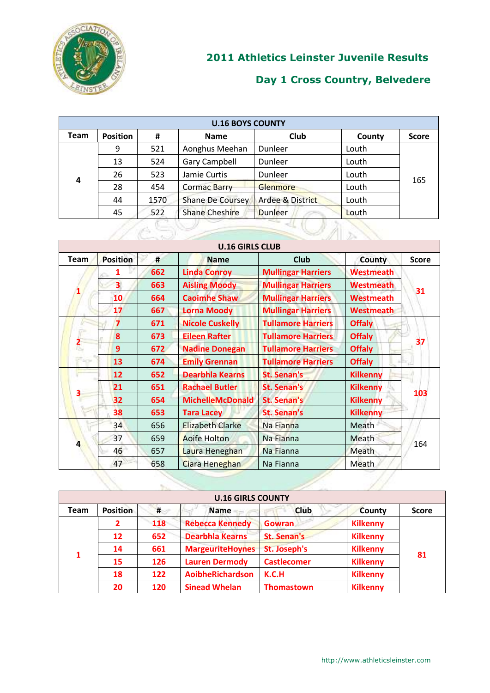

| <b>U.16 BOYS COUNTY</b> |                 |      |                         |                             |        |              |  |
|-------------------------|-----------------|------|-------------------------|-----------------------------|--------|--------------|--|
| <b>Team</b>             | <b>Position</b> | #    | <b>Name</b>             | Club                        | County | <b>Score</b> |  |
|                         | 9               | 521  | Aonghus Meehan          | Dunleer                     | Louth  |              |  |
|                         | 13              | 524  | <b>Gary Campbell</b>    | Dunleer                     | Louth  | 165          |  |
| 4                       | 26              | 523  | Jamie Curtis            | Dunleer                     | Louth  |              |  |
|                         | 28              | 454  | <b>Cormac Barry</b>     | <b>Glenmore</b>             | Louth  |              |  |
|                         | 44              | 1570 | <b>Shane De Coursey</b> | <b>Ardee &amp; District</b> | Louth  |              |  |
|                         | 45              | 522  | <b>Shane Cheshire</b>   | <b>Dunleer</b>              | Louth  |              |  |
|                         |                 |      |                         |                             |        |              |  |

|                         |                         |     | <b>U.16 GIRLS CLUB</b>  |                           |                  |              |
|-------------------------|-------------------------|-----|-------------------------|---------------------------|------------------|--------------|
| <b>Team</b>             | <b>Position</b>         | #   | <b>Name</b>             | <b>Club</b>               | County           | <b>Score</b> |
|                         |                         | 662 | <b>Linda Conroy</b>     | <b>Mullingar Harriers</b> | <b>Westmeath</b> |              |
|                         | 3 <sup>1</sup>          | 663 | <b>Aisling Moody</b>    | <b>Mullingar Harriers</b> | <b>Westmeath</b> | 31           |
|                         | 10                      | 664 | <b>Caoimhe Shaw</b>     | <b>Mullingar Harriers</b> | <b>Westmeath</b> |              |
|                         | 17                      | 667 | <b>Lorna Moody</b>      | <b>Mullingar Harriers</b> | <b>Westmeath</b> |              |
|                         | $\overline{\mathbf{z}}$ | 671 | <b>Nicole Cuskelly</b>  | <b>Tullamore Harriers</b> | <b>Offaly</b>    |              |
|                         | 8                       | 673 | <b>Eileen Rafter</b>    | <b>Tullamore Harriers</b> | <b>Offaly</b>    | 37           |
| $\overline{\mathbf{c}}$ | 9                       | 672 | <b>Nadine Donegan</b>   | <b>Tullamore Harriers</b> | <b>Offaly</b>    |              |
| <b>CACH</b>             | 13                      | 674 | <b>Emily Grennan</b>    | <b>Tullamore Harriers</b> | <b>Offaly</b>    |              |
|                         | 12                      | 652 | <b>Dearbhla Kearns</b>  | <b>St. Senan's</b>        | <b>Kilkenny</b>  |              |
|                         | 21                      | 651 | <b>Rachael Butler</b>   | <b>St. Senan's</b>        | <b>Kilkenny</b>  | 103          |
| 3                       | 32                      | 654 | <b>MichelleMcDonald</b> | <b>St. Senan's</b>        | <b>Kilkenny</b>  |              |
|                         | 38                      | 653 | <b>Tara Lacey</b>       | <b>St. Senan's</b>        | <b>Kilkenny</b>  |              |
|                         | 34                      | 656 | <b>Elizabeth Clarke</b> | Na Fianna                 | Meath            |              |
|                         | 37                      | 659 | <b>Aoife Holton</b>     | Na Fianna                 | Meath            |              |
| 4                       | 46                      | 657 | Laura Heneghan          | Na Fianna                 | Meath            | 164          |
|                         | 47                      | 658 | Ciara Heneghan          | Na Fianna                 | Meath            |              |

|             |                 |     | <b>U.16 GIRLS COUNTY</b> |                    |                 |              |
|-------------|-----------------|-----|--------------------------|--------------------|-----------------|--------------|
| <b>Team</b> | <b>Position</b> | #   | <b>Name</b>              | <b>Club</b>        | <b>County</b>   | <b>Score</b> |
|             | 2               | 118 | <b>Rebecca Kennedy</b>   | <b>Gowran</b>      | <b>Kilkenny</b> | 81           |
|             | 12              | 652 | <b>Dearbhla Kearns</b>   | <b>St. Senan's</b> | <b>Kilkenny</b> |              |
| 1           | 14              | 661 | <b>MargeuriteHoynes</b>  | St. Joseph's       | <b>Kilkenny</b> |              |
|             | 15              | 126 | <b>Lauren Dermody</b>    | <b>Castlecomer</b> | <b>Kilkenny</b> |              |
|             | 18              | 122 | AoibheRichardson         | K.C.H              | <b>Kilkenny</b> |              |
|             | 20              | 120 | <b>Sinead Whelan</b>     | <b>Thomastown</b>  | <b>Kilkenny</b> |              |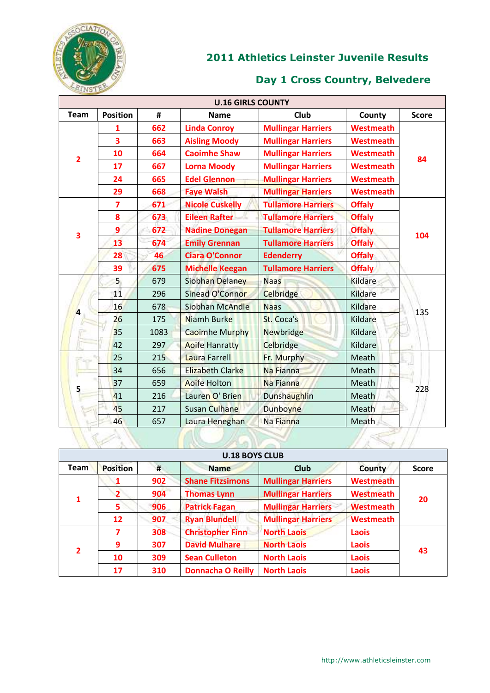

|                |                         |      | <b>U.16 GIRLS COUNTY</b> |                           |                  |              |
|----------------|-------------------------|------|--------------------------|---------------------------|------------------|--------------|
| <b>Team</b>    | <b>Position</b>         | #    | <b>Name</b>              | Club                      | County           | <b>Score</b> |
|                | 1                       | 662  | <b>Linda Conroy</b>      | <b>Mullingar Harriers</b> | <b>Westmeath</b> |              |
|                | 3                       | 663  | <b>Aisling Moody</b>     | <b>Mullingar Harriers</b> | <b>Westmeath</b> |              |
| $\overline{2}$ | 10                      | 664  | <b>Caoimhe Shaw</b>      | <b>Mullingar Harriers</b> | <b>Westmeath</b> | 84           |
|                | 17                      | 667  | <b>Lorna Moody</b>       | <b>Mullingar Harriers</b> | <b>Westmeath</b> |              |
|                | 24                      | 665  | <b>Edel Glennon</b>      | <b>Mullingar Harriers</b> | <b>Westmeath</b> |              |
|                | 29                      | 668  | <b>Faye Walsh</b>        | <b>Mullingar Harriers</b> | <b>Westmeath</b> |              |
|                | $\overline{\mathbf{z}}$ | 671  | <b>Nicole Cuskelly</b>   | <b>Tullamore Harriers</b> | <b>Offaly</b>    |              |
|                | 8                       | 673  | <b>Eileen Rafter</b>     | <b>Tullamore Harriers</b> | <b>Offaly</b>    |              |
| 3              | 9                       | 672  | <b>Nadine Donegan</b>    | <b>Tullamore Harriers</b> | <b>Offaly</b>    | 104          |
|                | 13                      | 674  | <b>Emily Grennan</b>     | <b>Tullamore Harriers</b> | <b>Offaly</b>    |              |
|                | 28                      | 46   | <b>Ciara O'Connor</b>    | <b>Edenderry</b>          | <b>Offaly</b>    |              |
|                | 39                      | 675  | <b>Michelle Keegan</b>   | <b>Tullamore Harriers</b> | <b>Offaly</b>    |              |
|                | 5                       | 679  | Siobhan Delaney          | <b>Naas</b>               | <b>Kildare</b>   | 135          |
|                | 11                      | 296  | Sinead O'Connor          | Celbridge                 | <b>Kildare</b>   |              |
| 4              | 16                      | 678  | Siobhan McAndle          | <b>Naas</b>               | Kildare          |              |
|                | 26                      | 175  | Niamh Burke              | St. Coca's                | Kildare          |              |
|                | 35                      | 1083 | <b>Caoimhe Murphy</b>    | <b>Newbridge</b>          | Kildare          |              |
|                | 42                      | 297  | <b>Aoife Hanratty</b>    | Celbridge                 | Kildare          |              |
|                | 25                      | 215  | Laura Farrell            | Fr. Murphy                | Meath            |              |
|                | 34                      | 656  | <b>Elizabeth Clarke</b>  | Na Fianna                 | Meath            |              |
| 5              | 37                      | 659  | <b>Aoife Holton</b>      | Na Fianna                 | Meath            | 228          |
|                | 41                      | 216  | Lauren O' Brien          | <b>Dunshaughlin</b>       | Meath            |              |
|                | 45                      | 217  | <b>Susan Culhane</b>     | <b>Dunboyne</b>           | Meath            |              |
|                | 46                      | 657  | Laura Heneghan           | Na Fianna                 | Meath            |              |
|                |                         |      |                          |                           |                  |              |

|                | <b>U.18 BOYS CLUB</b> |     |                          |                           |                  |              |  |  |  |
|----------------|-----------------------|-----|--------------------------|---------------------------|------------------|--------------|--|--|--|
| <b>Team</b>    | <b>Position</b>       | #   | <b>Name</b>              | <b>Club</b>               | County           | <b>Score</b> |  |  |  |
|                |                       | 902 | <b>Shane Fitzsimons</b>  | <b>Mullingar Harriers</b> | Westmeath        |              |  |  |  |
| 1              | 2                     | 904 | <b>Thomas Lynn</b>       | <b>Mullingar Harriers</b> | Westmeath        | 20           |  |  |  |
|                | 5                     | 906 | <b>Patrick Fagan</b>     | <b>Mullingar Harriers</b> | <b>Westmeath</b> |              |  |  |  |
|                | 12                    | 907 | <b>Ryan Blundell</b>     | <b>Mullingar Harriers</b> | <b>Westmeath</b> |              |  |  |  |
|                |                       | 308 | <b>Christopher Finn</b>  | <b>North Laois</b>        | Laois            | 43           |  |  |  |
| $\overline{2}$ | 9                     | 307 | <b>David Mulhare</b>     | <b>North Laois</b>        | Laois            |              |  |  |  |
|                | 10                    | 309 | <b>Sean Culleton</b>     | <b>North Laois</b>        | Laois            |              |  |  |  |
|                | 17                    | 310 | <b>Donnacha O Reilly</b> | <b>North Laois</b>        | Laois            |              |  |  |  |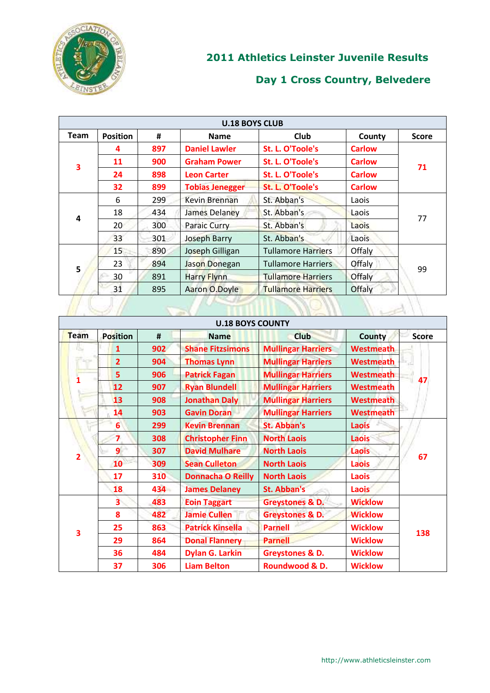

|                         |                 |     | <b>U.18 BOYS CLUB</b>  |                           |               |              |
|-------------------------|-----------------|-----|------------------------|---------------------------|---------------|--------------|
| <b>Team</b>             | <b>Position</b> | #   | <b>Name</b>            | <b>Club</b>               | County        | <b>Score</b> |
| $\overline{\mathbf{3}}$ | 4               | 897 | <b>Daniel Lawler</b>   | St. L. O'Toole's          | <b>Carlow</b> |              |
|                         | 11              | 900 | <b>Graham Power</b>    | St. L. O'Toole's          | <b>Carlow</b> | 71           |
|                         | 24              | 898 | <b>Leon Carter</b>     | St. L. O'Toole's          | <b>Carlow</b> |              |
|                         | 32              | 899 | <b>Tobias Jenegger</b> | St. L. O'Toole's          | <b>Carlow</b> |              |
| 4                       | 6               | 299 | Kevin Brennan          | St. Abban's               | Laois         | 77           |
|                         | 18              | 434 | James Delaney          | St. Abban's               | Laois         |              |
|                         | 20              | 300 | Paraic Curry           | St. Abban's               | Laois         |              |
|                         | 33              | 301 | <b>Joseph Barry</b>    | St. Abban's               | Laois         |              |
| 5                       | 15              | 890 | Joseph Gilligan        | <b>Tullamore Harriers</b> | Offaly        | 99           |
|                         | 23              | 894 | Jason Donegan          | <b>Tullamore Harriers</b> | Offaly        |              |
|                         | 30              | 891 | <b>Harry Flynn</b>     | <b>Tullamore Harriers</b> | Offaly        |              |
|                         | 31              | 895 | Aaron O.Doyle          | <b>Tullamore Harriers</b> | Offaly        |              |
|                         |                 |     |                        |                           |               |              |

|                |                         |     | <b>U.18 BOYS COUNTY</b>  |                            |                  |              |
|----------------|-------------------------|-----|--------------------------|----------------------------|------------------|--------------|
| Team           | <b>Position</b>         | #   | <b>Name</b>              | <b>Club</b>                | County           | <b>Score</b> |
| 153            | 1                       | 902 | <b>Shane Fitzsimons</b>  | <b>Mullingar Harriers</b>  | <b>Westmeath</b> |              |
|                | $\overline{2}$          | 904 | <b>Thomas Lynn</b>       | <b>Mullingar Harriers</b>  | <b>Westmeath</b> |              |
|                | 5                       | 906 | <b>Patrick Fagan</b>     | <b>Mullingar Harriers</b>  | <b>Westmeath</b> | 47           |
|                | 12                      | 907 | <b>Ryan Blundell</b>     | <b>Mullingar Harriers</b>  | <b>Westmeath</b> |              |
|                | 13                      | 908 | <b>Jonathan Daly</b>     | <b>Mullingar Harriers</b>  | <b>Westmeath</b> |              |
|                | 14                      | 903 | <b>Gavin Doran</b>       | <b>Mullingar Harriers</b>  | <b>Westmeath</b> |              |
|                | $6\phantom{1}6$         | 299 | <b>Kevin Brennan</b>     | <b>St. Abban's</b>         | Laois            |              |
|                | $\overline{\mathbf{z}}$ | 308 | <b>Christopher Finn</b>  | <b>North Laois</b>         | <b>Laois</b>     |              |
| $\overline{2}$ | $\overline{9}$          | 307 | <b>David Mulhare</b>     | <b>North Laois</b>         | Laois            | 67           |
|                | 10                      | 309 | <b>Sean Culleton</b>     | <b>North Laois</b>         | <b>Laois</b>     |              |
|                | 17                      | 310 | <b>Donnacha O Reilly</b> | <b>North Laois</b>         | <b>Laois</b>     |              |
|                | 18                      | 434 | <b>James Delaney</b>     | St. Abban's                | <b>Laois</b>     |              |
|                | 3                       | 483 | <b>Eoin Taggart</b>      | <b>Greystones &amp; D.</b> | <b>Wicklow</b>   | 138          |
| 3              | 8                       | 482 | <b>Jamie Cullen</b>      | <b>Greystones &amp; D.</b> | <b>Wicklow</b>   |              |
|                | 25                      | 863 | <b>Patrick Kinsella</b>  | <b>Parnell</b>             | <b>Wicklow</b>   |              |
|                | 29                      | 864 | <b>Donal Flannery</b>    | <b>Parnell</b>             | <b>Wicklow</b>   |              |
|                | 36                      | 484 | <b>Dylan G. Larkin</b>   | <b>Greystones &amp; D.</b> | <b>Wicklow</b>   |              |
|                | 37                      | 306 | <b>Liam Belton</b>       | Roundwood & D.             | <b>Wicklow</b>   |              |